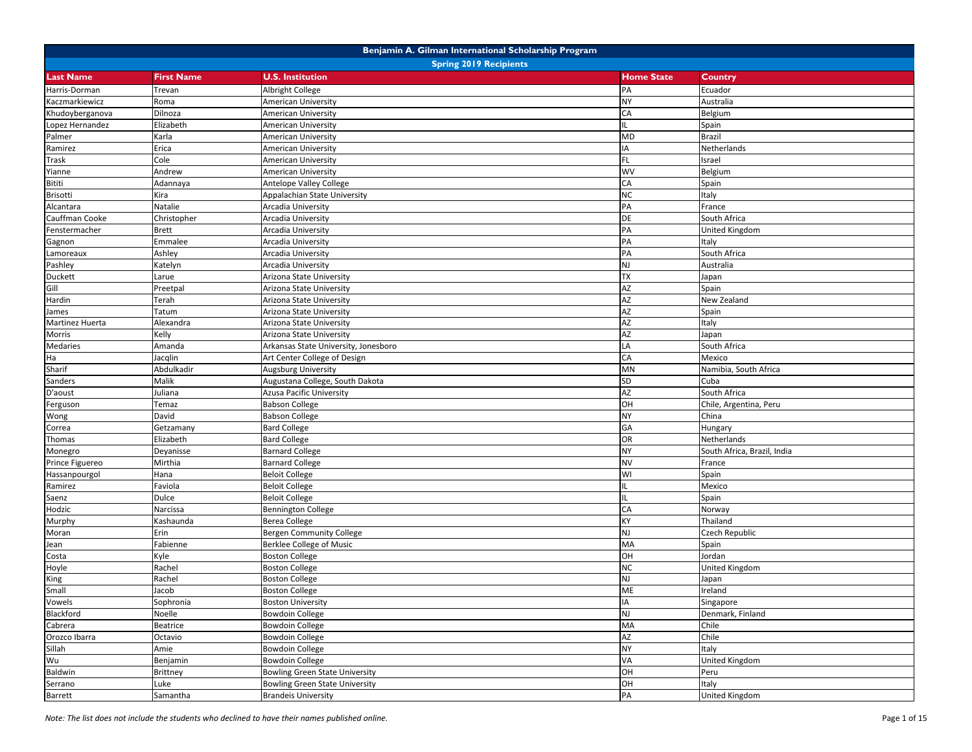| Benjamin A. Gilman International Scholarship Program |                               |                                       |                   |                             |  |  |
|------------------------------------------------------|-------------------------------|---------------------------------------|-------------------|-----------------------------|--|--|
|                                                      | <b>Spring 2019 Recipients</b> |                                       |                   |                             |  |  |
| <b>Last Name</b>                                     | <b>First Name</b>             | <b>U.S. Institution</b>               | <b>Home State</b> | Country                     |  |  |
| Harris-Dorman                                        | Trevan                        | <b>Albright College</b>               | PA                | Ecuador                     |  |  |
| Kaczmarkiewicz                                       | Roma                          | American University                   | <b>NY</b>         | Australia                   |  |  |
| Khudoyberganova                                      | Dilnoza                       | American University                   | CA                | Belgium                     |  |  |
| Lopez Hernandez                                      | Elizabeth                     | American University                   | IL.               | Spain                       |  |  |
| Palmer                                               | Karla                         | American University                   | <b>MD</b>         | <b>Brazil</b>               |  |  |
| Ramirez                                              | Erica                         | American University                   | IA                | Netherlands                 |  |  |
| <b>Trask</b>                                         | Cole                          | <b>American University</b>            | FL.               | Israel                      |  |  |
| Yianne                                               | Andrew                        | American University                   | WV                | Belgium                     |  |  |
| Bititi                                               | Adannaya                      | Antelope Valley College               | CA                | Spain                       |  |  |
| Brisotti                                             | Kira                          | Appalachian State University          | <b>NC</b>         | Italy                       |  |  |
| Alcantara                                            | Natalie                       | Arcadia University                    | PA                | France                      |  |  |
| Cauffman Cooke                                       | Christopher                   | Arcadia University                    | <b>DE</b>         | South Africa                |  |  |
| Fenstermacher                                        | <b>Brett</b>                  | Arcadia University                    | PA                | <b>United Kingdom</b>       |  |  |
| Gagnon                                               | Emmalee                       | Arcadia University                    | PA                | Italy                       |  |  |
| Lamoreaux                                            | Ashley                        | Arcadia University                    | PA                | South Africa                |  |  |
| Pashley                                              | Katelyn                       | Arcadia University                    | <b>NJ</b>         | Australia                   |  |  |
| Duckett                                              | Larue                         | Arizona State University              | <b>TX</b>         | Japan                       |  |  |
| Gill                                                 | Preetpal                      | Arizona State University              | AZ                | Spain                       |  |  |
| Hardin                                               | Terah                         | Arizona State University              | AZ                | New Zealand                 |  |  |
| James                                                | Tatum                         | Arizona State University              | AZ                | Spain                       |  |  |
| Martinez Huerta                                      | Alexandra                     | Arizona State University              | AZ                | Italy                       |  |  |
| Morris                                               | Kelly                         | Arizona State University              | <b>AZ</b>         | Japan                       |  |  |
| <b>Medaries</b>                                      | Amanda                        | Arkansas State University, Jonesboro  | LA                | South Africa                |  |  |
| Ha                                                   | Jacqlin                       | Art Center College of Design          | CA                | Mexico                      |  |  |
| Sharif                                               | Abdulkadir                    | <b>Augsburg University</b>            | MN                | Namibia, South Africa       |  |  |
| Sanders                                              | Malik                         | Augustana College, South Dakota       | SD                | Cuba                        |  |  |
| D'aoust                                              | Juliana                       | <b>Azusa Pacific University</b>       | <b>AZ</b>         | South Africa                |  |  |
| Ferguson                                             | Temaz                         | <b>Babson College</b>                 | OH                | Chile, Argentina, Peru      |  |  |
| Wong                                                 | David                         | <b>Babson College</b>                 | <b>NY</b>         | China                       |  |  |
| Correa                                               | Getzamany                     | <b>Bard College</b>                   | GA                | Hungary                     |  |  |
| Thomas                                               | Elizabeth                     | <b>Bard College</b>                   | OR                | Netherlands                 |  |  |
| Monegro                                              | Deyanisse                     | <b>Barnard College</b>                | <b>NY</b>         | South Africa, Brazil, India |  |  |
| Prince Figuereo                                      | Mirthia                       | <b>Barnard College</b>                | <b>NV</b>         | France                      |  |  |
| Hassanpourgol                                        | Hana                          | <b>Beloit College</b>                 | WI                | Spain                       |  |  |
| Ramirez                                              | Faviola                       | <b>Beloit College</b>                 | IL.               | Mexico                      |  |  |
| Saenz                                                | Dulce                         | <b>Beloit College</b>                 | IL.               | Spain                       |  |  |
| Hodzic                                               | Narcissa                      | <b>Bennington College</b>             | CA                | Norway                      |  |  |
| Murphy                                               | Kashaunda                     | Berea College                         | KY                | Thailand                    |  |  |
| Moran                                                | Erin                          | Bergen Community College              | NJ                | Czech Republic              |  |  |
| Jean                                                 | Fabienne                      | <b>Berklee College of Music</b>       | MA                | Spain                       |  |  |
| Costa                                                | Kyle                          | <b>Boston College</b>                 | OH                | Jordan                      |  |  |
| Hoyle                                                | Rachel                        | <b>Boston College</b>                 | <b>NC</b>         | <b>United Kingdom</b>       |  |  |
| King                                                 | Rachel                        | <b>Boston College</b>                 | NJ                | Japan                       |  |  |
| Small                                                | Jacob                         | <b>Boston College</b>                 | <b>ME</b>         | Ireland                     |  |  |
| Vowels                                               | Sophronia                     | <b>Boston University</b>              | IA                | Singapore                   |  |  |
| Blackford                                            | Noelle                        | <b>Bowdoin College</b>                | NJ                | Denmark, Finland            |  |  |
| Cabrera                                              | Beatrice                      | <b>Bowdoin College</b>                | MA                | Chile                       |  |  |
| Orozco Ibarra                                        | Octavio                       | <b>Bowdoin College</b>                | AZ                | Chile                       |  |  |
| Sillah                                               | Amie                          | <b>Bowdoin College</b>                | <b>NY</b>         | Italy                       |  |  |
| Wu                                                   | Benjamin                      | <b>Bowdoin College</b>                | VA                | <b>United Kingdom</b>       |  |  |
| Baldwin                                              | Brittney                      | Bowling Green State University        | OH                | Peru                        |  |  |
| Serrano                                              | Luke                          | <b>Bowling Green State University</b> | OH                | Italy                       |  |  |
| <b>Barrett</b>                                       | Samantha                      | <b>Brandeis University</b>            | PA                | <b>United Kingdom</b>       |  |  |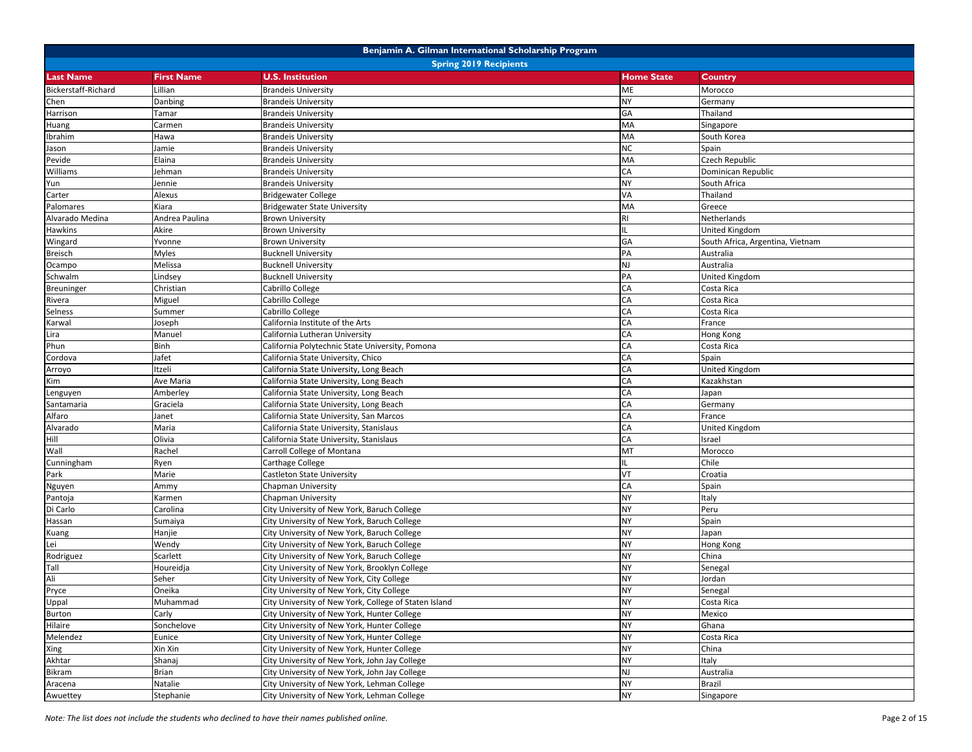|                     |                               | Benjamin A. Gilman International Scholarship Program  |                   |                                  |  |  |
|---------------------|-------------------------------|-------------------------------------------------------|-------------------|----------------------------------|--|--|
|                     | <b>Spring 2019 Recipients</b> |                                                       |                   |                                  |  |  |
| <b>Last Name</b>    | <b>First Name</b>             | <b>U.S. Institution</b>                               | <b>Home State</b> | Country                          |  |  |
| Bickerstaff-Richard | Lillian                       | <b>Brandeis University</b>                            | ME                | Morocco                          |  |  |
| Chen                | Danbing                       | <b>Brandeis University</b>                            | NY                | Germany                          |  |  |
| Harrison            | Tamar                         | <b>Brandeis University</b>                            | GA                | Thailand                         |  |  |
| Huang               | Carmen                        | <b>Brandeis University</b>                            | MA                | Singapore                        |  |  |
| Ibrahim             | Hawa                          | <b>Brandeis University</b>                            | MA                | South Korea                      |  |  |
| Jason               | Jamie                         | <b>Brandeis University</b>                            | <b>NC</b>         | Spain                            |  |  |
| Pevide              | Elaina                        | <b>Brandeis University</b>                            | <b>MA</b>         | Czech Republic                   |  |  |
| Williams            | Jehman                        | <b>Brandeis University</b>                            | CA                | Dominican Republic               |  |  |
| Yun                 | Jennie                        | <b>Brandeis University</b>                            | <b>NY</b>         | South Africa                     |  |  |
| Carter              | Alexus                        | <b>Bridgewater College</b>                            | <b>VA</b>         | Thailand                         |  |  |
| Palomares           | Kiara                         | <b>Bridgewater State University</b>                   | MA                | Greece                           |  |  |
| Alvarado Medina     | Andrea Paulina                | <b>Brown University</b>                               | RI                | Netherlands                      |  |  |
| Hawkins             | Akire                         | <b>Brown University</b>                               | IL.               | <b>United Kingdom</b>            |  |  |
| Wingard             | Yvonne                        | Brown University                                      | GA                | South Africa, Argentina, Vietnam |  |  |
| Breisch             | Myles                         | <b>Bucknell University</b>                            | PA                | Australia                        |  |  |
| Ocampo              | Melissa                       | <b>Bucknell University</b>                            | NJ                | Australia                        |  |  |
| Schwalm             | Lindsey                       | <b>Bucknell University</b>                            | PA                | <b>United Kingdom</b>            |  |  |
| Breuninger          | Christian                     | Cabrillo College                                      | CA                | Costa Rica                       |  |  |
| Rivera              | Miguel                        | Cabrillo College                                      | CA                | Costa Rica                       |  |  |
| Selness             | Summer                        | Cabrillo College                                      | CA                | Costa Rica                       |  |  |
| Karwal              | Joseph                        | California Institute of the Arts                      | CA                | France                           |  |  |
| Lira                | Manuel                        | California Lutheran University                        | CA                | Hong Kong                        |  |  |
| Phun                | Binh                          | California Polytechnic State University, Pomona       | CA                | Costa Rica                       |  |  |
| Cordova             | Jafet                         | California State University, Chico                    | CA                | Spain                            |  |  |
| Arroyo              | Itzeli                        | California State University, Long Beach               | CA                | United Kingdom                   |  |  |
| Kim                 | Ave Maria                     | California State University, Long Beach               | CA                | Kazakhstan                       |  |  |
| Lenguyen            | Amberley                      | California State University, Long Beach               | CA                | Japan                            |  |  |
| Santamaria          | Graciela                      | California State University, Long Beach               | CA                | Germany                          |  |  |
| Alfaro              | Janet                         | California State University, San Marcos               | CA                | France                           |  |  |
| Alvarado            | Maria                         | California State University, Stanislaus               | CA                | United Kingdom                   |  |  |
| Hill                | Olivia                        | California State University, Stanislaus               | CA                | Israel                           |  |  |
| Wall                | Rachel                        | Carroll College of Montana                            | MT                | Morocco                          |  |  |
| Cunningham          | Ryen                          | Carthage College                                      | IL.               | Chile                            |  |  |
| Park                | Marie                         | Castleton State University                            | <b>VT</b>         | Croatia                          |  |  |
| Nguyen              | Ammy                          | Chapman University                                    | CA                | Spain                            |  |  |
| Pantoja             | Karmen                        | Chapman University                                    | <b>NY</b>         | Italy                            |  |  |
| Di Carlo            | Carolina                      | City University of New York, Baruch College           | <b>NY</b>         | Peru                             |  |  |
| Hassan              | Sumaiya                       | City University of New York, Baruch College           | <b>NY</b>         | Spain                            |  |  |
| Kuang               | Hanjie                        | City University of New York, Baruch College           | <b>NY</b>         | Japan                            |  |  |
| Lei                 | Wendy                         | City University of New York, Baruch College           | <b>NY</b>         | Hong Kong                        |  |  |
| Rodriguez           | Scarlett                      | City University of New York, Baruch College           | <b>NY</b>         | China                            |  |  |
| Tall                | Houreidja                     | City University of New York, Brooklyn College         | <b>NY</b>         | Senegal                          |  |  |
| Ali                 | Seher                         | City University of New York, City College             | NY                | Jordan                           |  |  |
| Pryce               | Oneika                        | City University of New York, City College             | <b>NY</b>         | Senegal                          |  |  |
| Uppal               | Muhammad                      | City University of New York, College of Staten Island | <b>NY</b>         | Costa Rica                       |  |  |
| Burton              | Carly                         | City University of New York, Hunter College           | NY                | Mexico                           |  |  |
| Hilaire             | Sonchelove                    | City University of New York, Hunter College           | NY                | Ghana                            |  |  |
| Melendez            | Eunice                        | City University of New York, Hunter College           | <b>NY</b>         | Costa Rica                       |  |  |
| Xing                | Xin Xin                       | City University of New York, Hunter College           | NY                | China                            |  |  |
| Akhtar              | Shanaj                        | City University of New York, John Jay College         | NY                | Italy                            |  |  |
| Bikram              | Brian                         | City University of New York, John Jay College         | NJ                | Australia                        |  |  |
| Aracena             | Natalie                       | City University of New York, Lehman College           | <b>NY</b>         | <b>Brazil</b>                    |  |  |
| Awuettey            | Stephanie                     | City University of New York, Lehman College           | NY                | Singapore                        |  |  |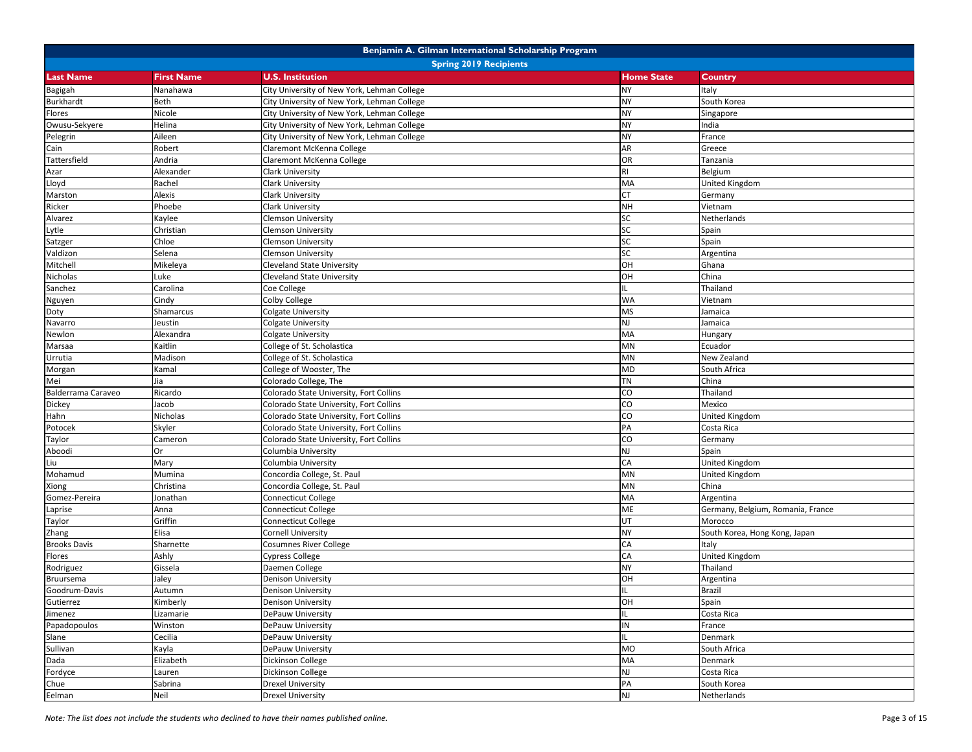|                     |                               | Benjamin A. Gilman International Scholarship Program |                   |                                   |  |  |  |
|---------------------|-------------------------------|------------------------------------------------------|-------------------|-----------------------------------|--|--|--|
|                     | <b>Spring 2019 Recipients</b> |                                                      |                   |                                   |  |  |  |
| <b>Last Name</b>    | <b>First Name</b>             | <b>U.S. Institution</b>                              | <b>Home State</b> | Country                           |  |  |  |
| Bagigah             | Nanahawa                      | City University of New York, Lehman College          | <b>NY</b>         | Italy                             |  |  |  |
| Burkhardt           | Beth                          | City University of New York, Lehman College          | <b>NY</b>         | South Korea                       |  |  |  |
| Flores              | Nicole                        | City University of New York, Lehman College          | <b>NY</b>         | Singapore                         |  |  |  |
| Owusu-Sekyere       | Helina                        | City University of New York, Lehman College          | <b>NY</b>         | India                             |  |  |  |
| Pelegrin            | Aileen                        | City University of New York, Lehman College          | <b>NY</b>         | France                            |  |  |  |
| Cain                | Robert                        | Claremont McKenna College                            | AR                | Greece                            |  |  |  |
| Tattersfield        | Andria                        | Claremont McKenna College                            | OR                | Tanzania                          |  |  |  |
| Azar                | Alexander                     | Clark University                                     | <b>RI</b>         | Belgium                           |  |  |  |
| Lloyd               | Rachel                        | <b>Clark University</b>                              | MA                | United Kingdom                    |  |  |  |
| Marston             | Alexis                        | <b>Clark University</b>                              | <b>CT</b>         | Germany                           |  |  |  |
| Ricker              | Phoebe                        | Clark University                                     | <b>NH</b>         | Vietnam                           |  |  |  |
| Alvarez             | Kaylee                        | <b>Clemson University</b>                            | SC                | Netherlands                       |  |  |  |
| Lytle               | Christian                     | <b>Clemson University</b>                            | SC                | Spain                             |  |  |  |
| Satzger             | Chloe                         | <b>Clemson University</b>                            | SC                | Spain                             |  |  |  |
| Valdizon            | Selena                        | <b>Clemson University</b>                            | SC                | Argentina                         |  |  |  |
| Mitchell            | Mikeleya                      | <b>Cleveland State University</b>                    | OH                | Ghana                             |  |  |  |
| Nicholas            | Luke                          | <b>Cleveland State University</b>                    | OH                | China                             |  |  |  |
| Sanchez             | Carolina                      | Coe College                                          | IL.               | Thailand                          |  |  |  |
| Nguyen              | Cindy                         | Colby College                                        | <b>WA</b>         | Vietnam                           |  |  |  |
| Doty                | Shamarcus                     | Colgate University                                   | <b>MS</b>         | Jamaica                           |  |  |  |
| Navarro             | Jeustin                       | Colgate University                                   | NJ                | Jamaica                           |  |  |  |
| Newlon              | Alexandra                     | Colgate University                                   | MA                | Hungary                           |  |  |  |
| Marsaa              | Kaitlin                       | College of St. Scholastica                           | MN                | Ecuador                           |  |  |  |
| Urrutia             | Madison                       | College of St. Scholastica                           | MN                | New Zealand                       |  |  |  |
| Morgan              | Kamal                         | College of Wooster, The                              | <b>MD</b>         | South Africa                      |  |  |  |
| Mei                 | Jia                           | Colorado College, The                                | <b>TN</b>         | China                             |  |  |  |
| Balderrama Caraveo  | Ricardo                       | Colorado State University, Fort Collins              | CO                | Thailand                          |  |  |  |
| Dickey              | Jacob                         | Colorado State University, Fort Collins              | CO                | Mexico                            |  |  |  |
| Hahn                | Nicholas                      | Colorado State University, Fort Collins              | CO                | United Kingdom                    |  |  |  |
| Potocek             | Skyler                        | Colorado State University, Fort Collins              | PA                | Costa Rica                        |  |  |  |
| Taylor              | Cameron                       | Colorado State University, Fort Collins              | CO                | Germany                           |  |  |  |
| Aboodi              | Or                            | Columbia University                                  | NJ                | Spain                             |  |  |  |
| Liu                 | Mary                          | Columbia University                                  | CA                | United Kingdom                    |  |  |  |
| Mohamud             | Mumina                        | Concordia College, St. Paul                          | MN                | <b>United Kingdom</b>             |  |  |  |
| Xiong               | Christina                     | Concordia College, St. Paul                          | MN                | China                             |  |  |  |
| Gomez-Pereira       | Jonathan                      | <b>Connecticut College</b>                           | MA                | Argentina                         |  |  |  |
| Laprise             | Anna                          | Connecticut College                                  | ME                | Germany, Belgium, Romania, France |  |  |  |
| Taylor              | Griffin                       | <b>Connecticut College</b>                           | UT                | Morocco                           |  |  |  |
| Zhang               | Elisa                         | Cornell University                                   | <b>NY</b>         | South Korea, Hong Kong, Japan     |  |  |  |
| <b>Brooks Davis</b> | Sharnette                     | <b>Cosumnes River College</b>                        | CA                | Italy                             |  |  |  |
| Flores              | Ashly                         | <b>Cypress College</b>                               | CA                | <b>United Kingdom</b>             |  |  |  |
| Rodriguez           | Gissela                       | Daemen College                                       | <b>NY</b>         | Thailand                          |  |  |  |
| Bruursema           | Jaley                         | <b>Denison University</b>                            | HO                | Argentina                         |  |  |  |
| Goodrum-Davis       | Autumn                        | Denison University                                   | IL                | <b>Brazil</b>                     |  |  |  |
| Gutierrez           | Kimberly                      | Denison University                                   | OH                | Spain                             |  |  |  |
| Jimenez             | Lizamarie                     | DePauw University                                    | IL.               | Costa Rica                        |  |  |  |
| Papadopoulos        | Winston                       | DePauw University                                    | IN                | France                            |  |  |  |
|                     |                               |                                                      | IL.               |                                   |  |  |  |
| Slane               | Cecilia                       | DePauw University                                    | <b>MO</b>         | Denmark<br>South Africa           |  |  |  |
| Sullivan            | Kayla<br>Elizabeth            | DePauw University                                    | MA                |                                   |  |  |  |
| Dada                |                               | Dickinson College                                    |                   | Denmark                           |  |  |  |
| Fordyce             | Lauren                        | Dickinson College                                    | NJ                | Costa Rica                        |  |  |  |
| Chue                | Sabrina                       | <b>Drexel University</b>                             | PA                | South Korea                       |  |  |  |
| Eelman              | Neil                          | <b>Drexel University</b>                             | NJ                | Netherlands                       |  |  |  |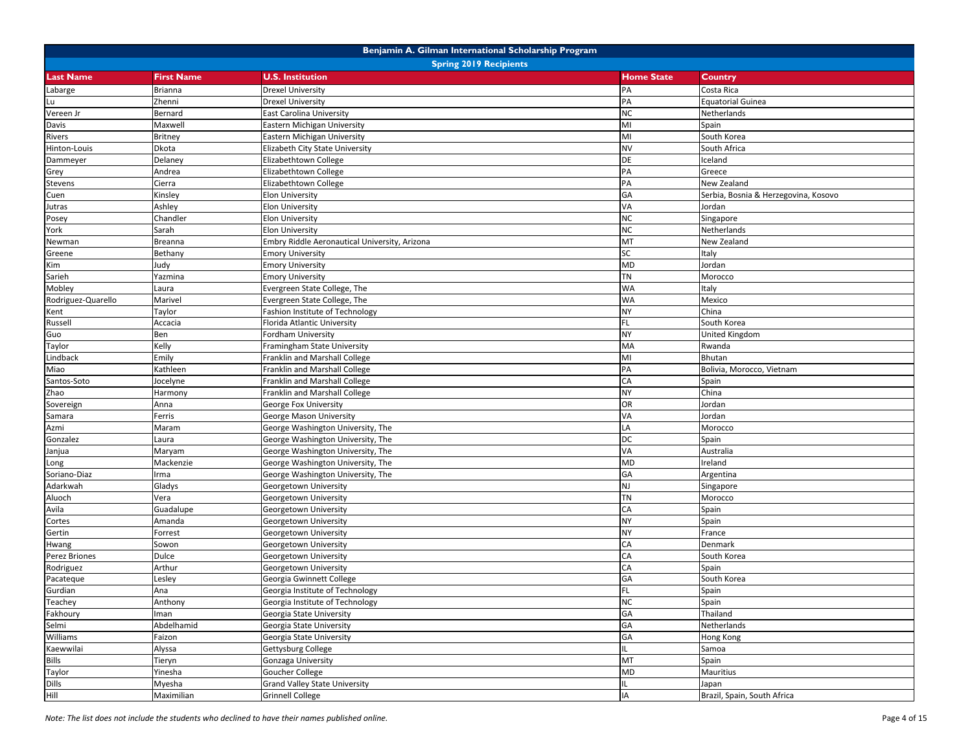|                               |                   | Benjamin A. Gilman International Scholarship Program |                   |                                      |  |
|-------------------------------|-------------------|------------------------------------------------------|-------------------|--------------------------------------|--|
| <b>Spring 2019 Recipients</b> |                   |                                                      |                   |                                      |  |
| <b>Last Name</b>              | <b>First Name</b> | <b>U.S. Institution</b>                              | <b>Home State</b> | <b>Country</b>                       |  |
| Labarge                       | <b>Brianna</b>    | <b>Drexel University</b>                             | PA                | Costa Rica                           |  |
| Lu                            | Zhenni            | <b>Drexel University</b>                             | PA                | <b>Equatorial Guinea</b>             |  |
| Vereen Jr                     | Bernard           | <b>East Carolina University</b>                      | <b>NC</b>         | Netherlands                          |  |
| Davis                         | Maxwell           | Eastern Michigan University                          | MI                | Spain                                |  |
| Rivers                        | <b>Britney</b>    | Eastern Michigan University                          | MI                | South Korea                          |  |
| Hinton-Louis                  | Dkota             | Elizabeth City State University                      | <b>NV</b>         | South Africa                         |  |
| Dammeyer                      | Delaney           | Elizabethtown College                                | DE                | Iceland                              |  |
| Grey                          | Andrea            | Elizabethtown College                                | PA                | Greece                               |  |
| Stevens                       | Cierra            | Elizabethtown College                                | PA                | New Zealand                          |  |
| Cuen                          | Kinsley           | <b>Elon University</b>                               | GA                | Serbia, Bosnia & Herzegovina, Kosovo |  |
| Jutras                        | Ashley            | <b>Elon University</b>                               | VA                | Jordan                               |  |
| Posey                         | Chandler          | <b>Elon University</b>                               | <b>NC</b>         | Singapore                            |  |
| York                          | Sarah             | <b>Elon University</b>                               | <b>NC</b>         | Netherlands                          |  |
| Newman                        | Breanna           | Embry Riddle Aeronautical University, Arizona        | MT                | New Zealand                          |  |
| Greene                        | Bethany           | <b>Emory University</b>                              | SC                | Italy                                |  |
| Kim                           | Judy              | <b>Emory University</b>                              | MD                | Jordan                               |  |
| Sarieh                        | Yazmina           | <b>Emory University</b>                              | <b>TN</b>         | Morocco                              |  |
| Mobley                        | Laura             | Evergreen State College, The                         | WA                | Italy                                |  |
| Rodriguez-Quarello            | Marivel           | Evergreen State College, The                         | <b>WA</b>         | Mexico                               |  |
| Kent                          | Taylor            | Fashion Institute of Technology                      | <b>NY</b>         | China                                |  |
| Russell                       | Accacia           | Florida Atlantic University                          | FL                | South Korea                          |  |
| Guo                           | Ben               | Fordham University                                   | NY                | <b>United Kingdom</b>                |  |
| Taylor                        | Kelly             | Framingham State University                          | MA                | Rwanda                               |  |
| Lindback                      | Emily             | Franklin and Marshall College                        | MI                | <b>Bhutan</b>                        |  |
| Miao                          | Kathleen          | Franklin and Marshall College                        | PA                | Bolivia, Morocco, Vietnam            |  |
| Santos-Soto                   | Jocelyne          | Franklin and Marshall College                        | CA                | Spain                                |  |
| Zhao                          | Harmony           | Franklin and Marshall College                        | <b>NY</b>         | China                                |  |
| Sovereign                     | Anna              | George Fox University                                | OR                | Jordan                               |  |
| Samara                        | Ferris            | George Mason University                              | VA                | Jordan                               |  |
| Azmi                          | Maram             | George Washington University, The                    | LA                | Morocco                              |  |
| Gonzalez                      | Laura             | George Washington University, The                    | DС                | Spain                                |  |
| Janjua                        | Maryam            | George Washington University, The                    | VA                | Australia                            |  |
| Long                          | Mackenzie         | George Washington University, The                    | <b>MD</b>         | Ireland                              |  |
| Soriano-Diaz                  | rma               | George Washington University, The                    | GA                | Argentina                            |  |
| Adarkwah                      | Gladys            | Georgetown University                                | NJ                | Singapore                            |  |
| Aluoch                        | Vera              | Georgetown University                                | <b>TN</b>         | Morocco                              |  |
| Avila                         | Guadalupe         | Georgetown University                                | CA                | Spain                                |  |
| Cortes                        | Amanda            | Georgetown University                                | NY                | Spain                                |  |
| Gertin                        | Forrest           | Georgetown University                                | <b>NY</b>         | France                               |  |
| Hwang                         | Sowon             | Georgetown University                                | CA                | Denmark                              |  |
| Perez Briones                 | Dulce             | Georgetown University                                | CA                | South Korea                          |  |
| Rodriguez                     | Arthur            | Georgetown University                                | CA                | Spain                                |  |
| Pacateque                     | Lesley            | Georgia Gwinnett College                             | GA                | South Korea                          |  |
|                               | Ana               | Georgia Institute of Technology                      | FL.               | Spain                                |  |
| Gurdian                       |                   | Georgia Institute of Technology                      | <b>NC</b>         | Spain                                |  |
| Teachey<br>Fakhoury           | Anthony<br>man    | Georgia State University                             | GA                | Thailand                             |  |
|                               | Abdelhamid        | Georgia State University                             | GA                | Netherlands                          |  |
| Selmi                         |                   |                                                      | GA                |                                      |  |
| Williams                      | Faizon            | Georgia State University                             |                   | Hong Kong                            |  |
| Kaewwilai<br><b>Bills</b>     | Alyssa            | Gettysburg College                                   | IL.<br><b>TM</b>  | Samoa                                |  |
|                               | Tieryn            | Gonzaga University                                   |                   | Spain                                |  |
| Taylor                        | Yinesha           | Goucher College                                      | MD                | <b>Mauritius</b>                     |  |
| Dills                         | Myesha            | <b>Grand Valley State University</b>                 | IL.               | Japan                                |  |
| Hill                          | Maximilian        | <b>Grinnell College</b>                              | IA                | Brazil, Spain, South Africa          |  |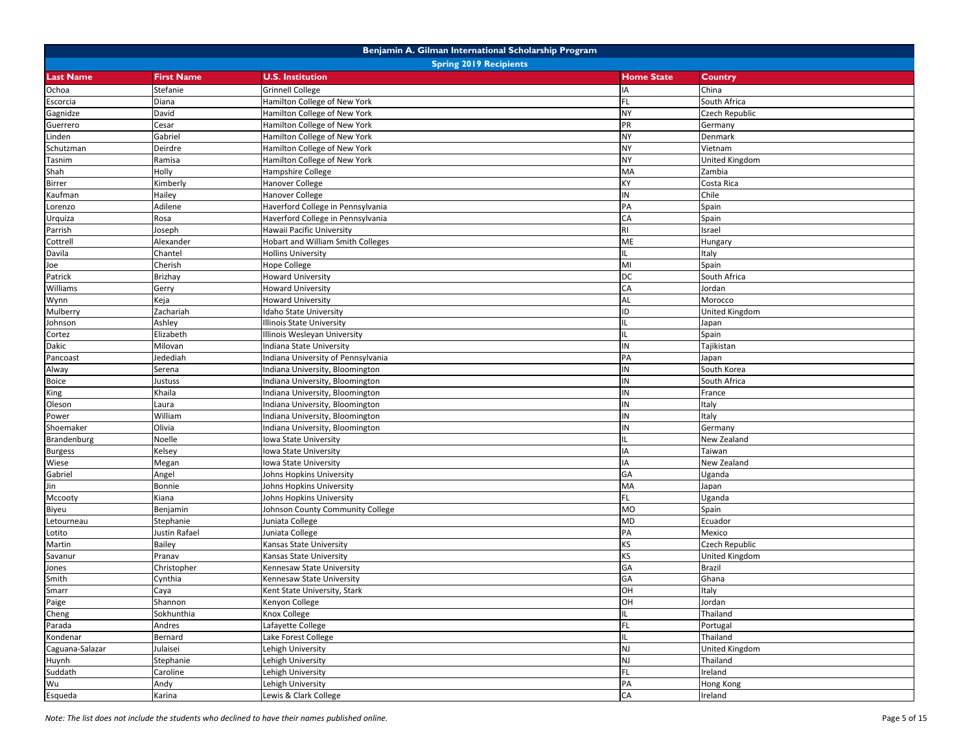|                  |                   | Benjamin A. Gilman International Scholarship Program |                   |                       |
|------------------|-------------------|------------------------------------------------------|-------------------|-----------------------|
|                  |                   | <b>Spring 2019 Recipients</b>                        |                   |                       |
| <b>Last Name</b> | <b>First Name</b> | <b>U.S. Institution</b>                              | <b>Home State</b> | Country               |
| Ochoa            | Stefanie          | <b>Grinnell College</b>                              | IA                | China                 |
| Escorcia         | Diana             | Hamilton College of New York                         | FL                | South Africa          |
| Gagnidze         | David             | Hamilton College of New York                         | NY                | Czech Republic        |
| Guerrero         | Cesar             | Hamilton College of New York                         | PR                | Germany               |
| Linden           | Gabriel           | Hamilton College of New York                         | <b>NY</b>         | Denmark               |
| Schutzman        | Deirdre           | Hamilton College of New York                         | NY                | Vietnam               |
| Tasnim           | Ramisa            | Hamilton College of New York                         | <b>NY</b>         | United Kingdom        |
| Shah             | Holly             | Hampshire College                                    | MA                | Zambia                |
| Birrer           | Kimberly          | Hanover College                                      | КY                | Costa Rica            |
| Kaufman          | Hailey            | <b>Hanover College</b>                               | IN                | Chile                 |
| Lorenzo          | Adilene           | Haverford College in Pennsylvania                    | PA                | Spain                 |
| Urquiza          | Rosa              | Haverford College in Pennsylvania                    | CA                | Spain                 |
| Parrish          | Joseph            | Hawaii Pacific University                            | RI                | Israel                |
| Cottrell         | Alexander         | Hobart and William Smith Colleges                    | ME                | Hungary               |
| Davila           | Chantel           | <b>Hollins University</b>                            | IL.               | Italy                 |
| Joe              | Cherish           | Hope College                                         | MI                | Spain                 |
| Patrick          | <b>Brizhay</b>    | <b>Howard University</b>                             | DC                | South Africa          |
| Williams         | Gerry             | <b>Howard University</b>                             | CA                | Jordan                |
| Wynn             | Keja              | <b>Howard University</b>                             | AL                | Morocco               |
| Mulberry         | Zachariah         | daho State University                                | ID                | United Kingdom        |
| Johnson          | Ashley            | Illinois State University                            | IL                | Japan                 |
| Cortez           | Elizabeth         | Illinois Wesleyan University                         | IL.               | Spain                 |
| Dakic            | Milovan           | Indiana State University                             | IN                | Tajikistan            |
| Pancoast         | Jedediah          | Indiana University of Pennsylvania                   | PA                | Japan                 |
| Alway            | Serena            | Indiana University, Bloomington                      | IN                | South Korea           |
| <b>Boice</b>     | Justuss           | Indiana University, Bloomington                      | IN                | South Africa          |
| King             | Khaila            | Indiana University, Bloomington                      | IN                | France                |
| Oleson           | Laura             | Indiana University, Bloomington                      | IN                | Italy                 |
| Power            | William           | Indiana University, Bloomington                      | IN                | Italy                 |
| Shoemaker        | Olivia            | Indiana University, Bloomington                      | IN                | Germany               |
| Brandenburg      | Noelle            | lowa State University                                | IL                | New Zealand           |
| <b>Burgess</b>   | Kelsey            | Iowa State University                                | IA                | Taiwan                |
| Wiese            | Megan             | Iowa State University                                | IA                | New Zealand           |
| Gabriel          | Angel             | Johns Hopkins University                             | GA                | Uganda                |
| Jin              | Bonnie            | Johns Hopkins University                             | MA                | Japan                 |
| Mccooty          | Kiana             | Johns Hopkins University                             | FL.               | Uganda                |
| Biyeu            | Benjamin          | Johnson County Community College                     | <b>MO</b>         | Spain                 |
| Letourneau       | Stephanie         | Juniata College                                      | MD                | Ecuador               |
| Lotito           | Justin Rafael     | Juniata College                                      | PA                | Mexico                |
| Martin           | <b>Bailey</b>     | Kansas State University                              | KS                | Czech Republic        |
| Savanur          | Pranav            | Kansas State University                              | KS                | <b>United Kingdom</b> |
| Jones            | Christopher       | Kennesaw State University                            | GA                | <b>Brazil</b>         |
| Smith            | Cynthia           | Kennesaw State University                            | GA                | Ghana                 |
| Smarr            | Caya              | Kent State University, Stark                         | OH                | Italy                 |
| Paige            | Shannon           | Kenyon College                                       | OH                | Jordan                |
| Cheng            | Sokhunthia        | Knox College                                         | IL.               | Thailand              |
| Parada           | Andres            | Lafayette College                                    | FL.               | Portugal              |
| Kondenar         | Bernard           | Lake Forest College                                  | IL.               | Thailand              |
| Caguana-Salazar  | Julaisei          | Lehigh University                                    | NJ                | <b>United Kingdom</b> |
| Huynh            | Stephanie         | Lehigh University                                    | NJ                | Thailand              |
| Suddath          | Caroline          | Lehigh University                                    | FL.               | Ireland               |
| Wu               | Andy              | Lehigh University                                    | PA                | Hong Kong             |
| Esqueda          | Karina            | Lewis & Clark College                                | CA                | Ireland               |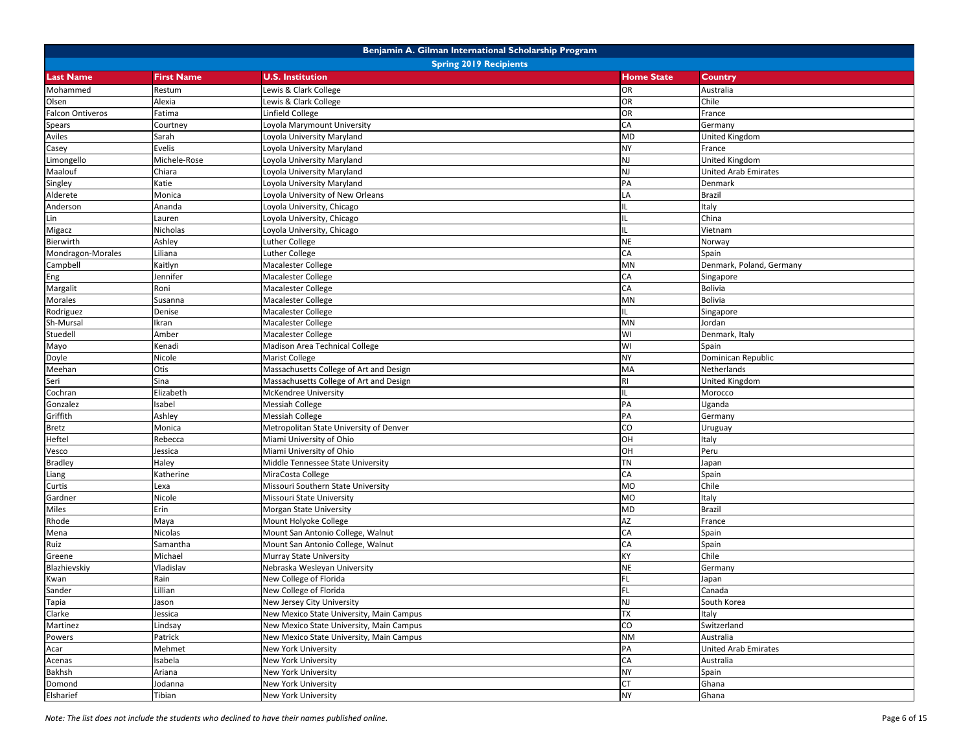|                         |                               | Benjamin A. Gilman International Scholarship Program                   |                        |                             |  |  |
|-------------------------|-------------------------------|------------------------------------------------------------------------|------------------------|-----------------------------|--|--|
|                         | <b>Spring 2019 Recipients</b> |                                                                        |                        |                             |  |  |
| <b>Last Name</b>        | <b>First Name</b>             | <b>U.S. Institution</b>                                                | <b>Home State</b>      | Country                     |  |  |
| Mohammed                | Restum                        | Lewis & Clark College                                                  | OR                     | Australia                   |  |  |
| Olsen                   | Alexia                        | Lewis & Clark College                                                  | OR                     | Chile                       |  |  |
| <b>Falcon Ontiveros</b> | Fatima                        | Linfield College                                                       | <b>OR</b>              | France                      |  |  |
| <b>Spears</b>           | Courtney                      | Loyola Marymount University                                            | CA                     | Germany                     |  |  |
| Aviles                  | Sarah                         | Loyola University Maryland                                             | <b>MD</b>              | United Kingdom              |  |  |
| Casey                   | Evelis                        | oyola University Maryland                                              | <b>NY</b>              | France                      |  |  |
| Limongello              | Michele-Rose                  | oyola University Maryland                                              | <b>NJ</b>              | United Kingdom              |  |  |
| Maalouf                 | Chiara                        | Loyola University Maryland                                             | NJ                     | <b>United Arab Emirates</b> |  |  |
| Singley                 | Katie                         | oyola University Maryland                                              | PA                     | Denmark                     |  |  |
| Alderete                | Monica                        | Loyola University of New Orleans                                       | LA                     | <b>Brazil</b>               |  |  |
| Anderson                | Ananda                        | Loyola University, Chicago                                             | IL.                    | Italy                       |  |  |
| Lin                     | Lauren                        | Loyola University, Chicago                                             | IL.                    | China                       |  |  |
| Migacz                  | Nicholas                      | oyola University, Chicago                                              | IL.                    | Vietnam                     |  |  |
| Bierwirth               | Ashley                        | uther College.                                                         | <b>NE</b>              | Norway                      |  |  |
| Mondragon-Morales       | Liliana                       | Luther College                                                         | CA                     | Spain                       |  |  |
| Campbell                | Kaitlyn                       | Macalester College                                                     | MN                     | Denmark, Poland, Germany    |  |  |
| Eng                     | Jennifer                      | Macalester College                                                     | CA                     | Singapore                   |  |  |
| Margalit                | Roni                          | <b>Macalester College</b>                                              | CA                     | <b>Bolivia</b>              |  |  |
| Morales                 | Susanna                       | Macalester College                                                     | <b>MN</b>              | <b>Bolivia</b>              |  |  |
| Rodriguez               | Denise                        | Macalester College                                                     | IL.                    | Singapore                   |  |  |
| Sh-Mursal               | Ikran                         | Macalester College                                                     | MN                     | Jordan                      |  |  |
| Stuedell                | Amber                         | Macalester College                                                     | WI                     | Denmark, Italy              |  |  |
| Mayo                    | Kenadi                        | Madison Area Technical College                                         | WI                     | Spain                       |  |  |
| Doyle                   | Nicole                        | Marist College                                                         | NY                     | Dominican Republic          |  |  |
| Meehan                  | Otis                          | Massachusetts College of Art and Design                                | MA                     | Netherlands                 |  |  |
| Seri                    | Sina                          | Massachusetts College of Art and Design                                | <b>RI</b>              | <b>United Kingdom</b>       |  |  |
| Cochran                 | Elizabeth                     | McKendree University                                                   | IL.                    | Morocco                     |  |  |
| Gonzalez                | Isabel                        | <b>Messiah College</b>                                                 | PA                     | Uganda                      |  |  |
| Griffith                | Ashley                        | Messiah College                                                        | PA                     | Germany                     |  |  |
| Bretz                   | Monica                        | Metropolitan State University of Denver                                | CO                     | Uruguay                     |  |  |
| Heftel                  | Rebecca                       | Miami University of Ohio                                               | HO                     | Italy                       |  |  |
| Vesco                   | Jessica                       | Miami University of Ohio                                               | OH                     | Peru                        |  |  |
| <b>Bradley</b>          | Haley                         | Middle Tennessee State University                                      | <b>TN</b>              | Japan                       |  |  |
| Liang                   | Katherine                     | MiraCosta College                                                      | CA                     | Spain                       |  |  |
| Curtis                  | Lexa                          | Missouri Southern State University                                     | <b>MO</b>              | Chile                       |  |  |
| Gardner                 | Nicole                        | Missouri State University                                              | <b>MO</b>              | Italy                       |  |  |
| Miles                   | Erin                          | Morgan State University                                                | <b>MD</b>              | <b>Brazil</b>               |  |  |
| Rhode                   | Maya                          | Mount Holyoke College                                                  | AZ                     | France                      |  |  |
| Mena                    | Nicolas                       | Mount San Antonio College, Walnut                                      | CA                     | Spain                       |  |  |
| Ruiz                    | Samantha                      | Mount San Antonio College, Walnut                                      | CA                     | Spain                       |  |  |
| Greene                  | Michael                       | Murray State University                                                | KY                     | Chile                       |  |  |
| Blazhievskiy            | Vladislav                     | Nebraska Wesleyan University                                           | <b>NE</b>              | Germany                     |  |  |
| Kwan                    | Rain                          | New College of Florida                                                 | FL.<br>FL.             | Japan                       |  |  |
| Sander                  | Lillian                       | New College of Florida                                                 |                        | Canada                      |  |  |
| Tapia                   | Jason                         | New Jersey City University<br>New Mexico State University, Main Campus | NJ<br>XL               | South Korea                 |  |  |
| Clarke                  | Jessica                       |                                                                        | CO                     | Italy                       |  |  |
| Martinez                | Lindsay                       | New Mexico State University, Main Campus                               |                        | Switzerland                 |  |  |
| Powers                  | Patrick                       | New Mexico State University, Main Campus                               | <b>NM</b><br>PA        | Australia                   |  |  |
| Acar                    | Mehmet                        | New York University                                                    | CA                     | <b>United Arab Emirates</b> |  |  |
| Acenas                  | Isabela                       | New York University                                                    |                        | Australia                   |  |  |
| Bakhsh                  | Ariana                        | New York University                                                    | <b>NY</b>              | Spain                       |  |  |
| Domond                  | Jodanna                       | New York University                                                    | <b>CT</b><br><b>NY</b> | Ghana                       |  |  |
| Elsharief               | Tibian                        | New York University                                                    |                        | Ghana                       |  |  |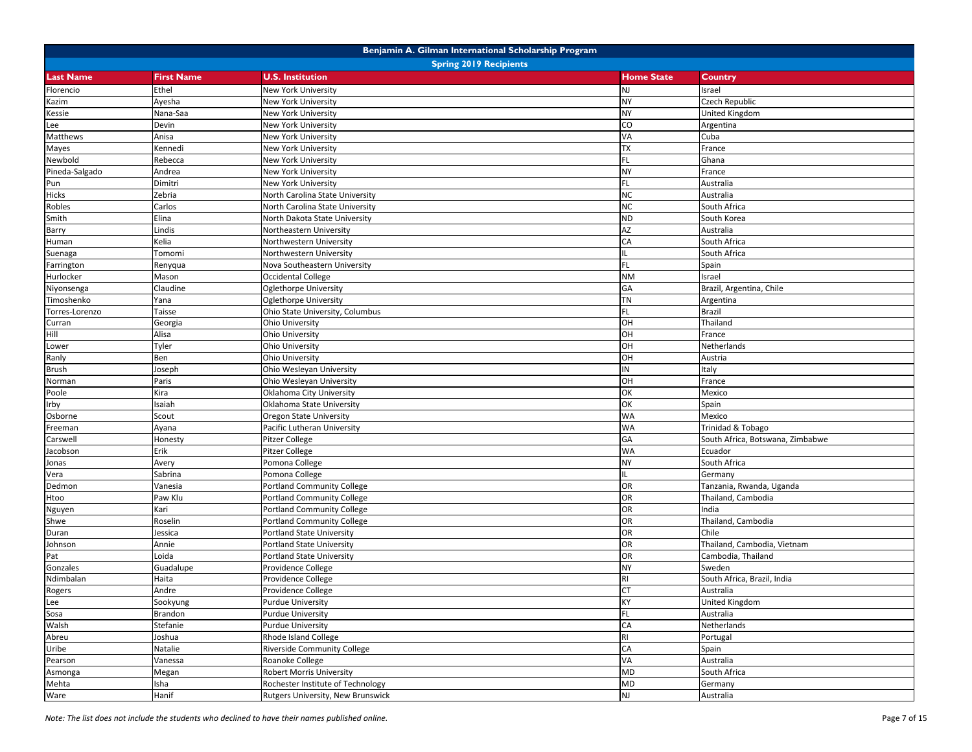|                  | Benjamin A. Gilman International Scholarship Program |                                    |                   |                                  |  |
|------------------|------------------------------------------------------|------------------------------------|-------------------|----------------------------------|--|
|                  |                                                      | <b>Spring 2019 Recipients</b>      |                   |                                  |  |
| <b>Last Name</b> | <b>First Name</b>                                    | <b>U.S. Institution</b>            | <b>Home State</b> | Country                          |  |
| Florencio        | Ethel                                                | New York University                | NJ                | Israel                           |  |
| Kazim            | Ayesha                                               | New York University                | <b>NY</b>         | Czech Republic                   |  |
| Kessie           | Nana-Saa                                             | New York University                | <b>NY</b>         | <b>United Kingdom</b>            |  |
| Lee              | Devin                                                | New York University                | CO                | Argentina                        |  |
| Matthews         | Anisa                                                | New York University                | VA                | Cuba                             |  |
| Mayes            | Kennedi                                              | New York University                | <b>TX</b>         | France                           |  |
| Newbold          | Rebecca                                              | New York University                | FL.               | Ghana                            |  |
| Pineda-Salgado   | Andrea                                               | New York University                | <b>NY</b>         | France                           |  |
| Pun              | Dimitri                                              | New York University                | FL.               | Australia                        |  |
| Hicks            | Zebria                                               | North Carolina State University    | <b>NC</b>         | Australia                        |  |
| Robles           | Carlos                                               | North Carolina State University    | NC                | South Africa                     |  |
| Smith            | Elina                                                | North Dakota State University      | <b>ND</b>         | South Korea                      |  |
| Barry            | Lindis                                               | Northeastern University            | AZ                | Australia                        |  |
| Human            | Kelia                                                | Northwestern University            | CA                | South Africa                     |  |
| Suenaga          | Tomomi                                               | Northwestern University            | IL.               | South Africa                     |  |
| Farrington       | Renyqua                                              | Nova Southeastern University       | FL.               | Spain                            |  |
| Hurlocker        | Mason                                                | Occidental College                 | <b>NM</b>         | Israel                           |  |
| Niyonsenga       | Claudine                                             | Oglethorpe University              | GA                | Brazil, Argentina, Chile         |  |
| Timoshenko       | Yana                                                 | <b>Oglethorpe University</b>       | <b>TN</b>         | Argentina                        |  |
| Torres-Lorenzo   | Taisse                                               | Ohio State University, Columbus    | FL.               | <b>Brazil</b>                    |  |
| Curran           | Georgia                                              | <b>Ohio University</b>             | OH                | Thailand                         |  |
| Hill             | Alisa                                                | Ohio University                    | OH                | France                           |  |
| Lower            | Tyler                                                | <b>Ohio University</b>             | OH                | Netherlands                      |  |
| Ranly            | Ben                                                  | Ohio University                    | OH                | Austria                          |  |
| <b>Brush</b>     | Joseph                                               | Ohio Wesleyan University           | IN                | Italy                            |  |
| Norman           | Paris                                                | Ohio Wesleyan University           | OH                | France                           |  |
| Poole            | Kira                                                 | Oklahoma City University           | OK                | Mexico                           |  |
| Irby             | saiah                                                | Oklahoma State University          | OK                | Spain                            |  |
| Osborne          | Scout                                                | Oregon State University            | <b>WA</b>         | Mexico                           |  |
| Freeman          | Ayana                                                | Pacific Lutheran University        | <b>WA</b>         | <b>Trinidad &amp; Tobago</b>     |  |
| Carswell         | Honesty                                              | <b>Pitzer College</b>              | GA                | South Africa, Botswana, Zimbabwe |  |
| Jacobson         | Erik                                                 | Pitzer College                     | <b>WA</b>         | Ecuador                          |  |
| Jonas            | Avery                                                | Pomona College                     | NY                | South Africa                     |  |
| Vera             | Sabrina                                              | Pomona College                     | IL.               | Germany                          |  |
| Dedmon           | Vanesia                                              | <b>Portland Community College</b>  | OR                | Tanzania, Rwanda, Uganda         |  |
| Htoo             | Paw Klu                                              | <b>Portland Community College</b>  | OR                | Thailand, Cambodia               |  |
| Nguyen           | Kari                                                 | <b>Portland Community College</b>  | OR                | India                            |  |
| Shwe             | Roselin                                              | Portland Community College         | OR                | Thailand, Cambodia               |  |
| Duran            | Jessica                                              | Portland State University          | OR                | Chile                            |  |
| Johnson          | Annie                                                | <b>Portland State University</b>   | OR                | Thailand, Cambodia, Vietnam      |  |
| Pat              | Loida                                                | <b>Portland State University</b>   | OR                | Cambodia, Thailand               |  |
| Gonzales         | Guadalupe                                            | Providence College                 | <b>NY</b>         | Sweden                           |  |
| Ndimbalan        | Haita                                                | Providence College                 | <b>RI</b>         | South Africa, Brazil, India      |  |
| Rogers           | Andre                                                | Providence College                 | <b>CT</b>         | Australia                        |  |
| Lee              | Sookyung                                             | <b>Purdue University</b>           | KY                | <b>United Kingdom</b>            |  |
| Sosa             | Brandon                                              | <b>Purdue University</b>           | FL.               | Australia                        |  |
| Walsh            | Stefanie                                             | <b>Purdue University</b>           | CA                | Netherlands                      |  |
| Abreu            | Joshua                                               | Rhode Island College               | RI                | Portugal                         |  |
| Uribe            | Natalie                                              | <b>Riverside Community College</b> | CA                | Spain                            |  |
| Pearson          | Vanessa                                              | Roanoke College                    | VA                | Australia                        |  |
| Asmonga          | Megan                                                | <b>Robert Morris University</b>    | MD                | South Africa                     |  |
| Mehta            | Isha                                                 | Rochester Institute of Technology  | MD                | Germany                          |  |
| Ware             | Hanif                                                | Rutgers University, New Brunswick  | NJ                | Australia                        |  |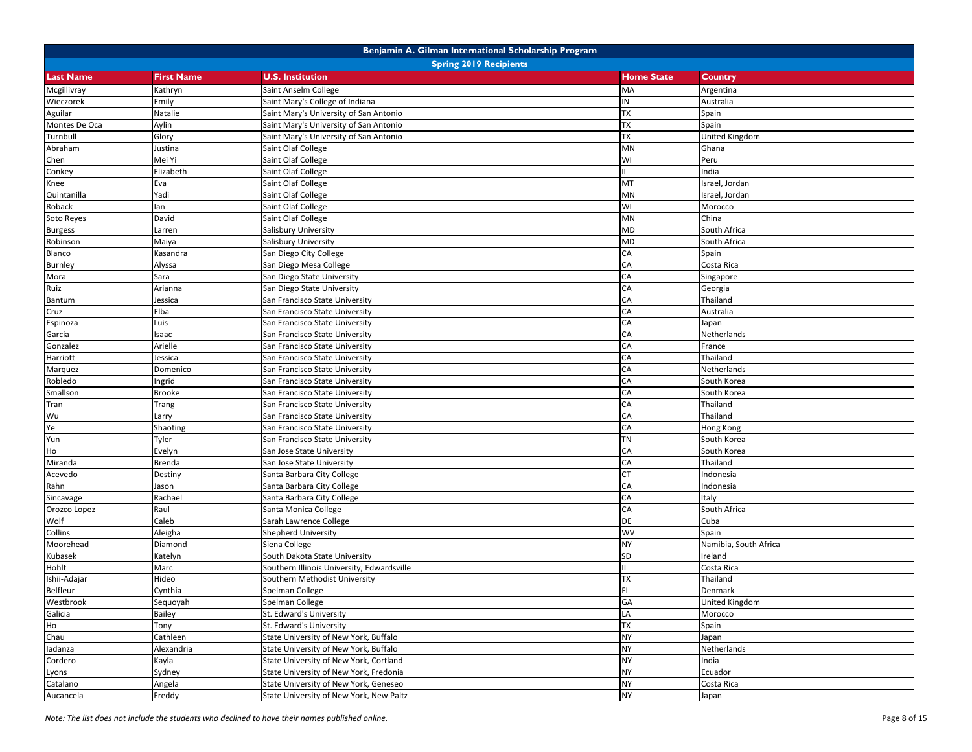|                  | Benjamin A. Gilman International Scholarship Program |                                            |                   |                       |  |  |
|------------------|------------------------------------------------------|--------------------------------------------|-------------------|-----------------------|--|--|
|                  | <b>Spring 2019 Recipients</b>                        |                                            |                   |                       |  |  |
| <b>Last Name</b> | <b>First Name</b>                                    | <b>U.S. Institution</b>                    | <b>Home State</b> | <b>Country</b>        |  |  |
| Mcgillivray      | Kathryn                                              | Saint Anselm College                       | MA                | Argentina             |  |  |
| Wieczorek        | Emily                                                | Saint Mary's College of Indiana            | IN                | Australia             |  |  |
| Aguilar          | Natalie                                              | Saint Mary's University of San Antonio     | <b>TX</b>         | Spain                 |  |  |
| Montes De Oca    | Aylin                                                | Saint Mary's University of San Antonio     | TX                | Spain                 |  |  |
| Turnbull         | Glory                                                | Saint Mary's University of San Antonio     | <b>TX</b>         | <b>United Kingdom</b> |  |  |
| Abraham          | Justina                                              | Saint Olaf College                         | MN                | Ghana                 |  |  |
| Chen             | Mei Yi                                               | Saint Olaf College                         | WI                | Peru                  |  |  |
| Conkey           | Elizabeth                                            | Saint Olaf College                         | IL.               | India                 |  |  |
| Knee             | Eva                                                  | Saint Olaf College                         | MT                | Israel, Jordan        |  |  |
| Quintanilla      | Yadi                                                 | Saint Olaf College                         | MN                | Israel, Jordan        |  |  |
| Roback           | lan                                                  | Saint Olaf College                         | WI                | Morocco               |  |  |
| Soto Reyes       | David                                                | Saint Olaf College                         | MN                | China                 |  |  |
| <b>Burgess</b>   | Larren                                               | Salisbury University                       | MD                | South Africa          |  |  |
| Robinson         | Maiya                                                | Salisbury University                       | MD                | South Africa          |  |  |
| Blanco           | Kasandra                                             | San Diego City College                     | CA                | Spain                 |  |  |
| Burnley          | Alyssa                                               | San Diego Mesa College                     | CA                | Costa Rica            |  |  |
| Mora             | Sara                                                 | San Diego State University                 | CA                | Singapore             |  |  |
| Ruiz             | Arianna                                              | San Diego State University                 | CA                | Georgia               |  |  |
| Bantum           | Jessica                                              | San Francisco State University             | CA                | Thailand              |  |  |
| Cruz             | Elba                                                 | San Francisco State University             | CA                | Australia             |  |  |
| Espinoza         | Luis                                                 | San Francisco State University             | CA                | Japan                 |  |  |
| Garcia           | Isaac                                                | San Francisco State University             | CA                | Netherlands           |  |  |
| Gonzalez         | Arielle                                              | San Francisco State University             | CA                | France                |  |  |
| Harriott         | Jessica                                              | San Francisco State University             | CA                | Thailand              |  |  |
| Marquez          | Domenico                                             | San Francisco State University             | CA                | Netherlands           |  |  |
| Robledo          | Ingrid                                               | San Francisco State University             | CA                | South Korea           |  |  |
| Smallson         | <b>Brooke</b>                                        | San Francisco State University             | CA                | South Korea           |  |  |
| Tran             | Trang                                                | San Francisco State University             | CA                | Thailand              |  |  |
| Wu               | Larry                                                | San Francisco State University             | CA                | Thailand              |  |  |
| Ye               | Shaoting                                             | San Francisco State University             | CA                | Hong Kong             |  |  |
| Yun              | Tyler                                                | San Francisco State University             | TN                | South Korea           |  |  |
| Ho               | Evelyn                                               | San Jose State University                  | CA                | South Korea           |  |  |
| Miranda          | Brenda                                               | San Jose State University                  | CA                | Thailand              |  |  |
| Acevedo          | Destiny                                              | Santa Barbara City College                 | <b>CT</b>         | Indonesia             |  |  |
| Rahn             | Jason                                                | Santa Barbara City College                 | CA                | Indonesia             |  |  |
| Sincavage        | Rachael                                              | Santa Barbara City College                 | CA                | Italy                 |  |  |
| Orozco Lopez     | Raul                                                 | Santa Monica College                       | CA                | South Africa          |  |  |
| Wolf             | Caleb                                                | Sarah Lawrence College                     | DE                | Cuba                  |  |  |
| Collins          | Aleigha                                              | Shepherd University                        | WV                | Spain                 |  |  |
| Moorehead        | Diamond                                              | Siena College                              | NΥ                | Namibia, South Africa |  |  |
| Kubasek          | Katelyn                                              | South Dakota State University              | SD                | Ireland               |  |  |
| Hohlt            | Marc                                                 | Southern Illinois University, Edwardsville | IL.               | Costa Rica            |  |  |
| Ishii-Adajar     | Hideo                                                | Southern Methodist University              | <b>TX</b>         | Thailand              |  |  |
| <b>Belfleur</b>  | Cynthia                                              | Spelman College                            | FL.               | Denmark               |  |  |
| Westbrook        | Sequoyah                                             | Spelman College                            | GA                | <b>United Kingdom</b> |  |  |
| Galicia          | Bailey                                               | St. Edward's University                    | LA                | Morocco               |  |  |
| Ho               | Tony                                                 | St. Edward's University                    | <b>XL</b>         | Spain                 |  |  |
| Chau             | Cathleen                                             | State University of New York, Buffalo      | NY                | Japan                 |  |  |
| ladanza          | Alexandria                                           | State University of New York, Buffalo      | <b>NY</b>         | Netherlands           |  |  |
| Cordero          | Kayla                                                | State University of New York, Cortland     | NY                | India                 |  |  |
| Lyons            | Sydney                                               | State University of New York, Fredonia     | <b>NY</b>         | Ecuador               |  |  |
| Catalano         | Angela                                               | State University of New York, Geneseo      | <b>NY</b>         | Costa Rica            |  |  |
| Aucancela        | Freddy                                               | State University of New York, New Paltz    | NΥ                | Japan                 |  |  |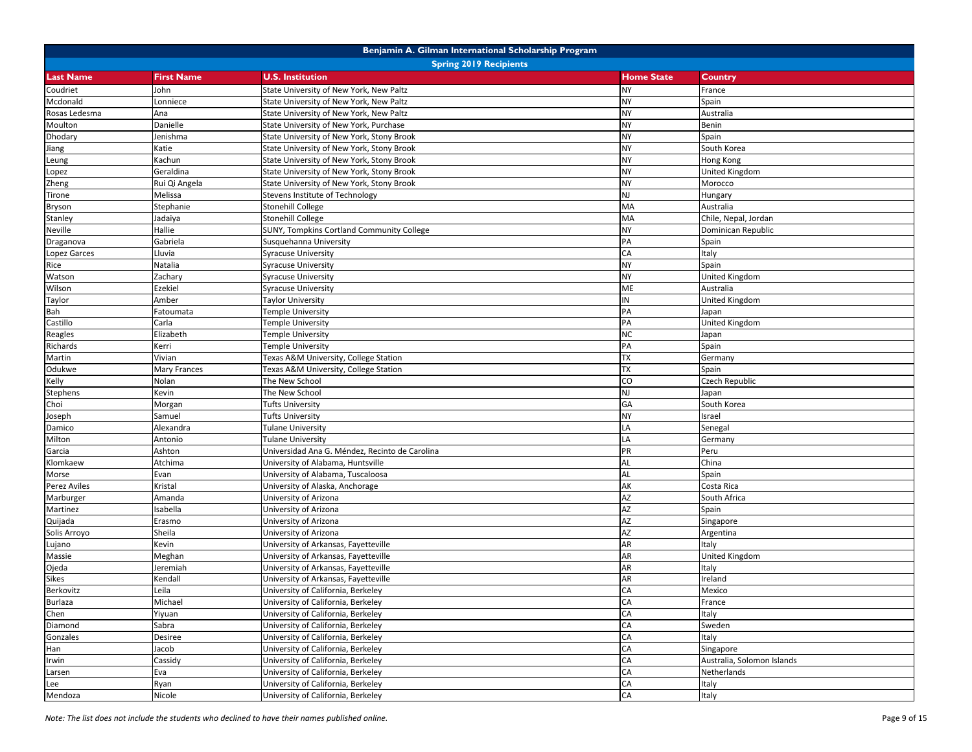| <b>Spring 2019 Recipients</b><br><b>U.S. Institution</b><br><b>Home State</b><br><b>Last Name</b><br><b>First Name</b><br>Country<br><b>NY</b><br>Coudriet<br>John<br>State University of New York, New Paltz<br>France<br><b>NY</b><br>Mcdonald<br>State University of New York, New Paltz<br>Spain<br>Lonniece<br><b>NY</b><br>Rosas Ledesma<br>Ana<br>State University of New York, New Paltz<br>Australia<br><b>NY</b><br>Moulton<br>Danielle<br>State University of New York, Purchase<br>Benin<br><b>NY</b><br>Spain<br>Dhodary<br>Jenishma<br>State University of New York, Stony Brook<br><b>NY</b><br>Katie<br>State University of New York, Stony Brook<br>South Korea<br>Jiang<br><b>NY</b><br>State University of New York, Stony Brook<br>Kachun<br>Hong Kong<br>Leung<br><b>NY</b><br>Geraldina<br>State University of New York, Stony Brook<br><b>United Kingdom</b><br>Lopez<br><b>NY</b><br>Rui Qi Angela<br>State University of New York, Stony Brook<br>Morocco<br>Zheng<br><b>NJ</b><br>Melissa<br>Stevens Institute of Technology<br>Hungary<br>Tirone<br>MA<br>Stephanie<br><b>Stonehill College</b><br>Australia<br>Bryson<br>MA<br>Jadaiya<br>Stonehill College<br>Chile, Nepal, Jordan<br>Stanley<br>NY<br>Neville<br>Hallie<br>SUNY, Tompkins Cortland Community College<br>Dominican Republic<br>PA<br>Gabriela<br>Susquehanna University<br>Draganova<br>Spain<br>CA<br>Italy<br>Lopez Garces<br>Lluvia<br><b>Syracuse University</b><br><b>NY</b><br>Natalia<br><b>Syracuse University</b><br>Spain<br>Rice<br><b>NY</b><br>Watson<br>Zachary<br><b>Syracuse University</b><br><b>United Kingdom</b><br>ME<br>Wilson<br>Ezekiel<br><b>Syracuse University</b><br>Australia<br>${\sf IN}$<br>Amber<br>United Kingdom<br>Taylor<br><b>Taylor University</b><br>PA<br>Bah<br><b>Temple University</b><br>Japan<br>Fatoumata<br>PA<br>Castillo<br>Carla<br><b>Temple University</b><br>United Kingdom<br><b>NC</b><br>Reagles<br>Elizabeth<br><b>Temple University</b><br>Japan<br>PA<br>Richards<br><b>Temple University</b><br>Spain<br>Kerri<br><b>TX</b><br>Texas A&M University, College Station<br>Martin<br>Vivian<br>Germany<br><b>TX</b><br>Odukwe<br>Mary Frances<br>Texas A&M University, College Station<br>Spain<br>CO<br>Kelly<br>The New School<br>Czech Republic<br>Nolan<br>NJ<br>Kevin<br>The New School<br>Japan<br><b>Stephens</b><br>GA<br>South Korea<br>Morgan<br><b>Tufts University</b><br>Choi<br><b>NY</b><br>Samuel<br><b>Tufts University</b><br>Israel<br>Joseph<br>LA<br>Damico<br>Alexandra<br><b>Tulane University</b><br>Senegal<br>LA<br>Milton<br>Germany<br>Antonio<br><b>Tulane University</b><br>PR<br>Garcia<br>Ashton<br>Universidad Ana G. Méndez, Recinto de Carolina<br>Peru<br>AL<br>Klomkaew<br>University of Alabama, Huntsville<br>China<br>Atchima<br>AL<br>Spain<br>Evan<br>University of Alabama, Tuscaloosa<br>Morse<br>AK<br>Perez Aviles<br>Kristal<br>Costa Rica<br>University of Alaska, Anchorage<br>AZ<br>Marburger<br>Amanda<br>University of Arizona<br>South Africa<br>AZ<br>University of Arizona<br>Martinez<br>sabella<br>Spain<br>AZ<br>University of Arizona<br>Quijada<br>Erasmo<br>Singapore<br><b>AZ</b><br>Sheila<br>University of Arizona<br>Solis Arroyo<br>Argentina<br><b>AR</b><br>Kevin<br>University of Arkansas, Fayetteville<br>Italy<br>Lujano<br>AR<br>Massie<br>Meghan<br>University of Arkansas, Fayetteville<br><b>United Kingdom</b><br>AR<br>University of Arkansas, Fayetteville<br>Ojeda<br>Jeremiah<br>Italy<br>AR<br><b>Sikes</b><br>Kendall<br>University of Arkansas, Fayetteville<br>Ireland<br>CA<br>Leila<br>Mexico<br>Berkovitz<br>University of California, Berkeley<br>CA<br>University of California, Berkeley<br>Burlaza<br>Michael<br>France<br>CA<br>University of California, Berkeley<br>Italy<br>Chen<br>Yiyuan<br>CA<br>Sabra<br>University of California, Berkeley<br>Sweden<br>Diamond<br>CA<br>University of California, Berkeley<br>Italy<br>Gonzales<br>Desiree<br>CA<br>University of California, Berkeley<br>Han<br>Jacob<br>Singapore<br>CA<br>University of California, Berkeley<br>Australia, Solomon Islands<br>Cassidy<br>Irwin<br>CA<br>Eva<br>University of California, Berkeley<br>Netherlands<br>Larsen<br>CA<br>University of California, Berkeley<br>Lee<br>Ryan<br>Italy |         |        | Benjamin A. Gilman International Scholarship Program |            |       |
|--------------------------------------------------------------------------------------------------------------------------------------------------------------------------------------------------------------------------------------------------------------------------------------------------------------------------------------------------------------------------------------------------------------------------------------------------------------------------------------------------------------------------------------------------------------------------------------------------------------------------------------------------------------------------------------------------------------------------------------------------------------------------------------------------------------------------------------------------------------------------------------------------------------------------------------------------------------------------------------------------------------------------------------------------------------------------------------------------------------------------------------------------------------------------------------------------------------------------------------------------------------------------------------------------------------------------------------------------------------------------------------------------------------------------------------------------------------------------------------------------------------------------------------------------------------------------------------------------------------------------------------------------------------------------------------------------------------------------------------------------------------------------------------------------------------------------------------------------------------------------------------------------------------------------------------------------------------------------------------------------------------------------------------------------------------------------------------------------------------------------------------------------------------------------------------------------------------------------------------------------------------------------------------------------------------------------------------------------------------------------------------------------------------------------------------------------------------------------------------------------------------------------------------------------------------------------------------------------------------------------------------------------------------------------------------------------------------------------------------------------------------------------------------------------------------------------------------------------------------------------------------------------------------------------------------------------------------------------------------------------------------------------------------------------------------------------------------------------------------------------------------------------------------------------------------------------------------------------------------------------------------------------------------------------------------------------------------------------------------------------------------------------------------------------------------------------------------------------------------------------------------------------------------------------------------------------------------------------------------------------------------------------------------------------------------------------------------------------------------------------------------------------------------------------------------------------------------------------------------------------------------------------------------------------------------------------------------------------------------------------------------------------------------------------------------------------------------------------------------------------------------------------------------------------------------------------------------------------------------------------------------------------------------------------------------------------------|---------|--------|------------------------------------------------------|------------|-------|
|                                                                                                                                                                                                                                                                                                                                                                                                                                                                                                                                                                                                                                                                                                                                                                                                                                                                                                                                                                                                                                                                                                                                                                                                                                                                                                                                                                                                                                                                                                                                                                                                                                                                                                                                                                                                                                                                                                                                                                                                                                                                                                                                                                                                                                                                                                                                                                                                                                                                                                                                                                                                                                                                                                                                                                                                                                                                                                                                                                                                                                                                                                                                                                                                                                                                                                                                                                                                                                                                                                                                                                                                                                                                                                                                                                                                                                                                                                                                                                                                                                                                                                                                                                                                                                                                                                                                |         |        |                                                      |            |       |
|                                                                                                                                                                                                                                                                                                                                                                                                                                                                                                                                                                                                                                                                                                                                                                                                                                                                                                                                                                                                                                                                                                                                                                                                                                                                                                                                                                                                                                                                                                                                                                                                                                                                                                                                                                                                                                                                                                                                                                                                                                                                                                                                                                                                                                                                                                                                                                                                                                                                                                                                                                                                                                                                                                                                                                                                                                                                                                                                                                                                                                                                                                                                                                                                                                                                                                                                                                                                                                                                                                                                                                                                                                                                                                                                                                                                                                                                                                                                                                                                                                                                                                                                                                                                                                                                                                                                |         |        |                                                      |            |       |
|                                                                                                                                                                                                                                                                                                                                                                                                                                                                                                                                                                                                                                                                                                                                                                                                                                                                                                                                                                                                                                                                                                                                                                                                                                                                                                                                                                                                                                                                                                                                                                                                                                                                                                                                                                                                                                                                                                                                                                                                                                                                                                                                                                                                                                                                                                                                                                                                                                                                                                                                                                                                                                                                                                                                                                                                                                                                                                                                                                                                                                                                                                                                                                                                                                                                                                                                                                                                                                                                                                                                                                                                                                                                                                                                                                                                                                                                                                                                                                                                                                                                                                                                                                                                                                                                                                                                |         |        |                                                      |            |       |
|                                                                                                                                                                                                                                                                                                                                                                                                                                                                                                                                                                                                                                                                                                                                                                                                                                                                                                                                                                                                                                                                                                                                                                                                                                                                                                                                                                                                                                                                                                                                                                                                                                                                                                                                                                                                                                                                                                                                                                                                                                                                                                                                                                                                                                                                                                                                                                                                                                                                                                                                                                                                                                                                                                                                                                                                                                                                                                                                                                                                                                                                                                                                                                                                                                                                                                                                                                                                                                                                                                                                                                                                                                                                                                                                                                                                                                                                                                                                                                                                                                                                                                                                                                                                                                                                                                                                |         |        |                                                      |            |       |
|                                                                                                                                                                                                                                                                                                                                                                                                                                                                                                                                                                                                                                                                                                                                                                                                                                                                                                                                                                                                                                                                                                                                                                                                                                                                                                                                                                                                                                                                                                                                                                                                                                                                                                                                                                                                                                                                                                                                                                                                                                                                                                                                                                                                                                                                                                                                                                                                                                                                                                                                                                                                                                                                                                                                                                                                                                                                                                                                                                                                                                                                                                                                                                                                                                                                                                                                                                                                                                                                                                                                                                                                                                                                                                                                                                                                                                                                                                                                                                                                                                                                                                                                                                                                                                                                                                                                |         |        |                                                      |            |       |
|                                                                                                                                                                                                                                                                                                                                                                                                                                                                                                                                                                                                                                                                                                                                                                                                                                                                                                                                                                                                                                                                                                                                                                                                                                                                                                                                                                                                                                                                                                                                                                                                                                                                                                                                                                                                                                                                                                                                                                                                                                                                                                                                                                                                                                                                                                                                                                                                                                                                                                                                                                                                                                                                                                                                                                                                                                                                                                                                                                                                                                                                                                                                                                                                                                                                                                                                                                                                                                                                                                                                                                                                                                                                                                                                                                                                                                                                                                                                                                                                                                                                                                                                                                                                                                                                                                                                |         |        |                                                      |            |       |
|                                                                                                                                                                                                                                                                                                                                                                                                                                                                                                                                                                                                                                                                                                                                                                                                                                                                                                                                                                                                                                                                                                                                                                                                                                                                                                                                                                                                                                                                                                                                                                                                                                                                                                                                                                                                                                                                                                                                                                                                                                                                                                                                                                                                                                                                                                                                                                                                                                                                                                                                                                                                                                                                                                                                                                                                                                                                                                                                                                                                                                                                                                                                                                                                                                                                                                                                                                                                                                                                                                                                                                                                                                                                                                                                                                                                                                                                                                                                                                                                                                                                                                                                                                                                                                                                                                                                |         |        |                                                      |            |       |
|                                                                                                                                                                                                                                                                                                                                                                                                                                                                                                                                                                                                                                                                                                                                                                                                                                                                                                                                                                                                                                                                                                                                                                                                                                                                                                                                                                                                                                                                                                                                                                                                                                                                                                                                                                                                                                                                                                                                                                                                                                                                                                                                                                                                                                                                                                                                                                                                                                                                                                                                                                                                                                                                                                                                                                                                                                                                                                                                                                                                                                                                                                                                                                                                                                                                                                                                                                                                                                                                                                                                                                                                                                                                                                                                                                                                                                                                                                                                                                                                                                                                                                                                                                                                                                                                                                                                |         |        |                                                      |            |       |
|                                                                                                                                                                                                                                                                                                                                                                                                                                                                                                                                                                                                                                                                                                                                                                                                                                                                                                                                                                                                                                                                                                                                                                                                                                                                                                                                                                                                                                                                                                                                                                                                                                                                                                                                                                                                                                                                                                                                                                                                                                                                                                                                                                                                                                                                                                                                                                                                                                                                                                                                                                                                                                                                                                                                                                                                                                                                                                                                                                                                                                                                                                                                                                                                                                                                                                                                                                                                                                                                                                                                                                                                                                                                                                                                                                                                                                                                                                                                                                                                                                                                                                                                                                                                                                                                                                                                |         |        |                                                      |            |       |
|                                                                                                                                                                                                                                                                                                                                                                                                                                                                                                                                                                                                                                                                                                                                                                                                                                                                                                                                                                                                                                                                                                                                                                                                                                                                                                                                                                                                                                                                                                                                                                                                                                                                                                                                                                                                                                                                                                                                                                                                                                                                                                                                                                                                                                                                                                                                                                                                                                                                                                                                                                                                                                                                                                                                                                                                                                                                                                                                                                                                                                                                                                                                                                                                                                                                                                                                                                                                                                                                                                                                                                                                                                                                                                                                                                                                                                                                                                                                                                                                                                                                                                                                                                                                                                                                                                                                |         |        |                                                      |            |       |
|                                                                                                                                                                                                                                                                                                                                                                                                                                                                                                                                                                                                                                                                                                                                                                                                                                                                                                                                                                                                                                                                                                                                                                                                                                                                                                                                                                                                                                                                                                                                                                                                                                                                                                                                                                                                                                                                                                                                                                                                                                                                                                                                                                                                                                                                                                                                                                                                                                                                                                                                                                                                                                                                                                                                                                                                                                                                                                                                                                                                                                                                                                                                                                                                                                                                                                                                                                                                                                                                                                                                                                                                                                                                                                                                                                                                                                                                                                                                                                                                                                                                                                                                                                                                                                                                                                                                |         |        |                                                      |            |       |
|                                                                                                                                                                                                                                                                                                                                                                                                                                                                                                                                                                                                                                                                                                                                                                                                                                                                                                                                                                                                                                                                                                                                                                                                                                                                                                                                                                                                                                                                                                                                                                                                                                                                                                                                                                                                                                                                                                                                                                                                                                                                                                                                                                                                                                                                                                                                                                                                                                                                                                                                                                                                                                                                                                                                                                                                                                                                                                                                                                                                                                                                                                                                                                                                                                                                                                                                                                                                                                                                                                                                                                                                                                                                                                                                                                                                                                                                                                                                                                                                                                                                                                                                                                                                                                                                                                                                |         |        |                                                      |            |       |
|                                                                                                                                                                                                                                                                                                                                                                                                                                                                                                                                                                                                                                                                                                                                                                                                                                                                                                                                                                                                                                                                                                                                                                                                                                                                                                                                                                                                                                                                                                                                                                                                                                                                                                                                                                                                                                                                                                                                                                                                                                                                                                                                                                                                                                                                                                                                                                                                                                                                                                                                                                                                                                                                                                                                                                                                                                                                                                                                                                                                                                                                                                                                                                                                                                                                                                                                                                                                                                                                                                                                                                                                                                                                                                                                                                                                                                                                                                                                                                                                                                                                                                                                                                                                                                                                                                                                |         |        |                                                      |            |       |
|                                                                                                                                                                                                                                                                                                                                                                                                                                                                                                                                                                                                                                                                                                                                                                                                                                                                                                                                                                                                                                                                                                                                                                                                                                                                                                                                                                                                                                                                                                                                                                                                                                                                                                                                                                                                                                                                                                                                                                                                                                                                                                                                                                                                                                                                                                                                                                                                                                                                                                                                                                                                                                                                                                                                                                                                                                                                                                                                                                                                                                                                                                                                                                                                                                                                                                                                                                                                                                                                                                                                                                                                                                                                                                                                                                                                                                                                                                                                                                                                                                                                                                                                                                                                                                                                                                                                |         |        |                                                      |            |       |
|                                                                                                                                                                                                                                                                                                                                                                                                                                                                                                                                                                                                                                                                                                                                                                                                                                                                                                                                                                                                                                                                                                                                                                                                                                                                                                                                                                                                                                                                                                                                                                                                                                                                                                                                                                                                                                                                                                                                                                                                                                                                                                                                                                                                                                                                                                                                                                                                                                                                                                                                                                                                                                                                                                                                                                                                                                                                                                                                                                                                                                                                                                                                                                                                                                                                                                                                                                                                                                                                                                                                                                                                                                                                                                                                                                                                                                                                                                                                                                                                                                                                                                                                                                                                                                                                                                                                |         |        |                                                      |            |       |
|                                                                                                                                                                                                                                                                                                                                                                                                                                                                                                                                                                                                                                                                                                                                                                                                                                                                                                                                                                                                                                                                                                                                                                                                                                                                                                                                                                                                                                                                                                                                                                                                                                                                                                                                                                                                                                                                                                                                                                                                                                                                                                                                                                                                                                                                                                                                                                                                                                                                                                                                                                                                                                                                                                                                                                                                                                                                                                                                                                                                                                                                                                                                                                                                                                                                                                                                                                                                                                                                                                                                                                                                                                                                                                                                                                                                                                                                                                                                                                                                                                                                                                                                                                                                                                                                                                                                |         |        |                                                      |            |       |
|                                                                                                                                                                                                                                                                                                                                                                                                                                                                                                                                                                                                                                                                                                                                                                                                                                                                                                                                                                                                                                                                                                                                                                                                                                                                                                                                                                                                                                                                                                                                                                                                                                                                                                                                                                                                                                                                                                                                                                                                                                                                                                                                                                                                                                                                                                                                                                                                                                                                                                                                                                                                                                                                                                                                                                                                                                                                                                                                                                                                                                                                                                                                                                                                                                                                                                                                                                                                                                                                                                                                                                                                                                                                                                                                                                                                                                                                                                                                                                                                                                                                                                                                                                                                                                                                                                                                |         |        |                                                      |            |       |
|                                                                                                                                                                                                                                                                                                                                                                                                                                                                                                                                                                                                                                                                                                                                                                                                                                                                                                                                                                                                                                                                                                                                                                                                                                                                                                                                                                                                                                                                                                                                                                                                                                                                                                                                                                                                                                                                                                                                                                                                                                                                                                                                                                                                                                                                                                                                                                                                                                                                                                                                                                                                                                                                                                                                                                                                                                                                                                                                                                                                                                                                                                                                                                                                                                                                                                                                                                                                                                                                                                                                                                                                                                                                                                                                                                                                                                                                                                                                                                                                                                                                                                                                                                                                                                                                                                                                |         |        |                                                      |            |       |
|                                                                                                                                                                                                                                                                                                                                                                                                                                                                                                                                                                                                                                                                                                                                                                                                                                                                                                                                                                                                                                                                                                                                                                                                                                                                                                                                                                                                                                                                                                                                                                                                                                                                                                                                                                                                                                                                                                                                                                                                                                                                                                                                                                                                                                                                                                                                                                                                                                                                                                                                                                                                                                                                                                                                                                                                                                                                                                                                                                                                                                                                                                                                                                                                                                                                                                                                                                                                                                                                                                                                                                                                                                                                                                                                                                                                                                                                                                                                                                                                                                                                                                                                                                                                                                                                                                                                |         |        |                                                      |            |       |
|                                                                                                                                                                                                                                                                                                                                                                                                                                                                                                                                                                                                                                                                                                                                                                                                                                                                                                                                                                                                                                                                                                                                                                                                                                                                                                                                                                                                                                                                                                                                                                                                                                                                                                                                                                                                                                                                                                                                                                                                                                                                                                                                                                                                                                                                                                                                                                                                                                                                                                                                                                                                                                                                                                                                                                                                                                                                                                                                                                                                                                                                                                                                                                                                                                                                                                                                                                                                                                                                                                                                                                                                                                                                                                                                                                                                                                                                                                                                                                                                                                                                                                                                                                                                                                                                                                                                |         |        |                                                      |            |       |
|                                                                                                                                                                                                                                                                                                                                                                                                                                                                                                                                                                                                                                                                                                                                                                                                                                                                                                                                                                                                                                                                                                                                                                                                                                                                                                                                                                                                                                                                                                                                                                                                                                                                                                                                                                                                                                                                                                                                                                                                                                                                                                                                                                                                                                                                                                                                                                                                                                                                                                                                                                                                                                                                                                                                                                                                                                                                                                                                                                                                                                                                                                                                                                                                                                                                                                                                                                                                                                                                                                                                                                                                                                                                                                                                                                                                                                                                                                                                                                                                                                                                                                                                                                                                                                                                                                                                |         |        |                                                      |            |       |
|                                                                                                                                                                                                                                                                                                                                                                                                                                                                                                                                                                                                                                                                                                                                                                                                                                                                                                                                                                                                                                                                                                                                                                                                                                                                                                                                                                                                                                                                                                                                                                                                                                                                                                                                                                                                                                                                                                                                                                                                                                                                                                                                                                                                                                                                                                                                                                                                                                                                                                                                                                                                                                                                                                                                                                                                                                                                                                                                                                                                                                                                                                                                                                                                                                                                                                                                                                                                                                                                                                                                                                                                                                                                                                                                                                                                                                                                                                                                                                                                                                                                                                                                                                                                                                                                                                                                |         |        |                                                      |            |       |
|                                                                                                                                                                                                                                                                                                                                                                                                                                                                                                                                                                                                                                                                                                                                                                                                                                                                                                                                                                                                                                                                                                                                                                                                                                                                                                                                                                                                                                                                                                                                                                                                                                                                                                                                                                                                                                                                                                                                                                                                                                                                                                                                                                                                                                                                                                                                                                                                                                                                                                                                                                                                                                                                                                                                                                                                                                                                                                                                                                                                                                                                                                                                                                                                                                                                                                                                                                                                                                                                                                                                                                                                                                                                                                                                                                                                                                                                                                                                                                                                                                                                                                                                                                                                                                                                                                                                |         |        |                                                      |            |       |
|                                                                                                                                                                                                                                                                                                                                                                                                                                                                                                                                                                                                                                                                                                                                                                                                                                                                                                                                                                                                                                                                                                                                                                                                                                                                                                                                                                                                                                                                                                                                                                                                                                                                                                                                                                                                                                                                                                                                                                                                                                                                                                                                                                                                                                                                                                                                                                                                                                                                                                                                                                                                                                                                                                                                                                                                                                                                                                                                                                                                                                                                                                                                                                                                                                                                                                                                                                                                                                                                                                                                                                                                                                                                                                                                                                                                                                                                                                                                                                                                                                                                                                                                                                                                                                                                                                                                |         |        |                                                      |            |       |
|                                                                                                                                                                                                                                                                                                                                                                                                                                                                                                                                                                                                                                                                                                                                                                                                                                                                                                                                                                                                                                                                                                                                                                                                                                                                                                                                                                                                                                                                                                                                                                                                                                                                                                                                                                                                                                                                                                                                                                                                                                                                                                                                                                                                                                                                                                                                                                                                                                                                                                                                                                                                                                                                                                                                                                                                                                                                                                                                                                                                                                                                                                                                                                                                                                                                                                                                                                                                                                                                                                                                                                                                                                                                                                                                                                                                                                                                                                                                                                                                                                                                                                                                                                                                                                                                                                                                |         |        |                                                      |            |       |
|                                                                                                                                                                                                                                                                                                                                                                                                                                                                                                                                                                                                                                                                                                                                                                                                                                                                                                                                                                                                                                                                                                                                                                                                                                                                                                                                                                                                                                                                                                                                                                                                                                                                                                                                                                                                                                                                                                                                                                                                                                                                                                                                                                                                                                                                                                                                                                                                                                                                                                                                                                                                                                                                                                                                                                                                                                                                                                                                                                                                                                                                                                                                                                                                                                                                                                                                                                                                                                                                                                                                                                                                                                                                                                                                                                                                                                                                                                                                                                                                                                                                                                                                                                                                                                                                                                                                |         |        |                                                      |            |       |
|                                                                                                                                                                                                                                                                                                                                                                                                                                                                                                                                                                                                                                                                                                                                                                                                                                                                                                                                                                                                                                                                                                                                                                                                                                                                                                                                                                                                                                                                                                                                                                                                                                                                                                                                                                                                                                                                                                                                                                                                                                                                                                                                                                                                                                                                                                                                                                                                                                                                                                                                                                                                                                                                                                                                                                                                                                                                                                                                                                                                                                                                                                                                                                                                                                                                                                                                                                                                                                                                                                                                                                                                                                                                                                                                                                                                                                                                                                                                                                                                                                                                                                                                                                                                                                                                                                                                |         |        |                                                      |            |       |
|                                                                                                                                                                                                                                                                                                                                                                                                                                                                                                                                                                                                                                                                                                                                                                                                                                                                                                                                                                                                                                                                                                                                                                                                                                                                                                                                                                                                                                                                                                                                                                                                                                                                                                                                                                                                                                                                                                                                                                                                                                                                                                                                                                                                                                                                                                                                                                                                                                                                                                                                                                                                                                                                                                                                                                                                                                                                                                                                                                                                                                                                                                                                                                                                                                                                                                                                                                                                                                                                                                                                                                                                                                                                                                                                                                                                                                                                                                                                                                                                                                                                                                                                                                                                                                                                                                                                |         |        |                                                      |            |       |
|                                                                                                                                                                                                                                                                                                                                                                                                                                                                                                                                                                                                                                                                                                                                                                                                                                                                                                                                                                                                                                                                                                                                                                                                                                                                                                                                                                                                                                                                                                                                                                                                                                                                                                                                                                                                                                                                                                                                                                                                                                                                                                                                                                                                                                                                                                                                                                                                                                                                                                                                                                                                                                                                                                                                                                                                                                                                                                                                                                                                                                                                                                                                                                                                                                                                                                                                                                                                                                                                                                                                                                                                                                                                                                                                                                                                                                                                                                                                                                                                                                                                                                                                                                                                                                                                                                                                |         |        |                                                      |            |       |
|                                                                                                                                                                                                                                                                                                                                                                                                                                                                                                                                                                                                                                                                                                                                                                                                                                                                                                                                                                                                                                                                                                                                                                                                                                                                                                                                                                                                                                                                                                                                                                                                                                                                                                                                                                                                                                                                                                                                                                                                                                                                                                                                                                                                                                                                                                                                                                                                                                                                                                                                                                                                                                                                                                                                                                                                                                                                                                                                                                                                                                                                                                                                                                                                                                                                                                                                                                                                                                                                                                                                                                                                                                                                                                                                                                                                                                                                                                                                                                                                                                                                                                                                                                                                                                                                                                                                |         |        |                                                      |            |       |
|                                                                                                                                                                                                                                                                                                                                                                                                                                                                                                                                                                                                                                                                                                                                                                                                                                                                                                                                                                                                                                                                                                                                                                                                                                                                                                                                                                                                                                                                                                                                                                                                                                                                                                                                                                                                                                                                                                                                                                                                                                                                                                                                                                                                                                                                                                                                                                                                                                                                                                                                                                                                                                                                                                                                                                                                                                                                                                                                                                                                                                                                                                                                                                                                                                                                                                                                                                                                                                                                                                                                                                                                                                                                                                                                                                                                                                                                                                                                                                                                                                                                                                                                                                                                                                                                                                                                |         |        |                                                      |            |       |
|                                                                                                                                                                                                                                                                                                                                                                                                                                                                                                                                                                                                                                                                                                                                                                                                                                                                                                                                                                                                                                                                                                                                                                                                                                                                                                                                                                                                                                                                                                                                                                                                                                                                                                                                                                                                                                                                                                                                                                                                                                                                                                                                                                                                                                                                                                                                                                                                                                                                                                                                                                                                                                                                                                                                                                                                                                                                                                                                                                                                                                                                                                                                                                                                                                                                                                                                                                                                                                                                                                                                                                                                                                                                                                                                                                                                                                                                                                                                                                                                                                                                                                                                                                                                                                                                                                                                |         |        |                                                      |            |       |
|                                                                                                                                                                                                                                                                                                                                                                                                                                                                                                                                                                                                                                                                                                                                                                                                                                                                                                                                                                                                                                                                                                                                                                                                                                                                                                                                                                                                                                                                                                                                                                                                                                                                                                                                                                                                                                                                                                                                                                                                                                                                                                                                                                                                                                                                                                                                                                                                                                                                                                                                                                                                                                                                                                                                                                                                                                                                                                                                                                                                                                                                                                                                                                                                                                                                                                                                                                                                                                                                                                                                                                                                                                                                                                                                                                                                                                                                                                                                                                                                                                                                                                                                                                                                                                                                                                                                |         |        |                                                      |            |       |
|                                                                                                                                                                                                                                                                                                                                                                                                                                                                                                                                                                                                                                                                                                                                                                                                                                                                                                                                                                                                                                                                                                                                                                                                                                                                                                                                                                                                                                                                                                                                                                                                                                                                                                                                                                                                                                                                                                                                                                                                                                                                                                                                                                                                                                                                                                                                                                                                                                                                                                                                                                                                                                                                                                                                                                                                                                                                                                                                                                                                                                                                                                                                                                                                                                                                                                                                                                                                                                                                                                                                                                                                                                                                                                                                                                                                                                                                                                                                                                                                                                                                                                                                                                                                                                                                                                                                |         |        |                                                      |            |       |
|                                                                                                                                                                                                                                                                                                                                                                                                                                                                                                                                                                                                                                                                                                                                                                                                                                                                                                                                                                                                                                                                                                                                                                                                                                                                                                                                                                                                                                                                                                                                                                                                                                                                                                                                                                                                                                                                                                                                                                                                                                                                                                                                                                                                                                                                                                                                                                                                                                                                                                                                                                                                                                                                                                                                                                                                                                                                                                                                                                                                                                                                                                                                                                                                                                                                                                                                                                                                                                                                                                                                                                                                                                                                                                                                                                                                                                                                                                                                                                                                                                                                                                                                                                                                                                                                                                                                |         |        |                                                      |            |       |
|                                                                                                                                                                                                                                                                                                                                                                                                                                                                                                                                                                                                                                                                                                                                                                                                                                                                                                                                                                                                                                                                                                                                                                                                                                                                                                                                                                                                                                                                                                                                                                                                                                                                                                                                                                                                                                                                                                                                                                                                                                                                                                                                                                                                                                                                                                                                                                                                                                                                                                                                                                                                                                                                                                                                                                                                                                                                                                                                                                                                                                                                                                                                                                                                                                                                                                                                                                                                                                                                                                                                                                                                                                                                                                                                                                                                                                                                                                                                                                                                                                                                                                                                                                                                                                                                                                                                |         |        |                                                      |            |       |
|                                                                                                                                                                                                                                                                                                                                                                                                                                                                                                                                                                                                                                                                                                                                                                                                                                                                                                                                                                                                                                                                                                                                                                                                                                                                                                                                                                                                                                                                                                                                                                                                                                                                                                                                                                                                                                                                                                                                                                                                                                                                                                                                                                                                                                                                                                                                                                                                                                                                                                                                                                                                                                                                                                                                                                                                                                                                                                                                                                                                                                                                                                                                                                                                                                                                                                                                                                                                                                                                                                                                                                                                                                                                                                                                                                                                                                                                                                                                                                                                                                                                                                                                                                                                                                                                                                                                |         |        |                                                      |            |       |
|                                                                                                                                                                                                                                                                                                                                                                                                                                                                                                                                                                                                                                                                                                                                                                                                                                                                                                                                                                                                                                                                                                                                                                                                                                                                                                                                                                                                                                                                                                                                                                                                                                                                                                                                                                                                                                                                                                                                                                                                                                                                                                                                                                                                                                                                                                                                                                                                                                                                                                                                                                                                                                                                                                                                                                                                                                                                                                                                                                                                                                                                                                                                                                                                                                                                                                                                                                                                                                                                                                                                                                                                                                                                                                                                                                                                                                                                                                                                                                                                                                                                                                                                                                                                                                                                                                                                |         |        |                                                      |            |       |
|                                                                                                                                                                                                                                                                                                                                                                                                                                                                                                                                                                                                                                                                                                                                                                                                                                                                                                                                                                                                                                                                                                                                                                                                                                                                                                                                                                                                                                                                                                                                                                                                                                                                                                                                                                                                                                                                                                                                                                                                                                                                                                                                                                                                                                                                                                                                                                                                                                                                                                                                                                                                                                                                                                                                                                                                                                                                                                                                                                                                                                                                                                                                                                                                                                                                                                                                                                                                                                                                                                                                                                                                                                                                                                                                                                                                                                                                                                                                                                                                                                                                                                                                                                                                                                                                                                                                |         |        |                                                      |            |       |
|                                                                                                                                                                                                                                                                                                                                                                                                                                                                                                                                                                                                                                                                                                                                                                                                                                                                                                                                                                                                                                                                                                                                                                                                                                                                                                                                                                                                                                                                                                                                                                                                                                                                                                                                                                                                                                                                                                                                                                                                                                                                                                                                                                                                                                                                                                                                                                                                                                                                                                                                                                                                                                                                                                                                                                                                                                                                                                                                                                                                                                                                                                                                                                                                                                                                                                                                                                                                                                                                                                                                                                                                                                                                                                                                                                                                                                                                                                                                                                                                                                                                                                                                                                                                                                                                                                                                |         |        |                                                      |            |       |
|                                                                                                                                                                                                                                                                                                                                                                                                                                                                                                                                                                                                                                                                                                                                                                                                                                                                                                                                                                                                                                                                                                                                                                                                                                                                                                                                                                                                                                                                                                                                                                                                                                                                                                                                                                                                                                                                                                                                                                                                                                                                                                                                                                                                                                                                                                                                                                                                                                                                                                                                                                                                                                                                                                                                                                                                                                                                                                                                                                                                                                                                                                                                                                                                                                                                                                                                                                                                                                                                                                                                                                                                                                                                                                                                                                                                                                                                                                                                                                                                                                                                                                                                                                                                                                                                                                                                |         |        |                                                      |            |       |
|                                                                                                                                                                                                                                                                                                                                                                                                                                                                                                                                                                                                                                                                                                                                                                                                                                                                                                                                                                                                                                                                                                                                                                                                                                                                                                                                                                                                                                                                                                                                                                                                                                                                                                                                                                                                                                                                                                                                                                                                                                                                                                                                                                                                                                                                                                                                                                                                                                                                                                                                                                                                                                                                                                                                                                                                                                                                                                                                                                                                                                                                                                                                                                                                                                                                                                                                                                                                                                                                                                                                                                                                                                                                                                                                                                                                                                                                                                                                                                                                                                                                                                                                                                                                                                                                                                                                |         |        |                                                      |            |       |
|                                                                                                                                                                                                                                                                                                                                                                                                                                                                                                                                                                                                                                                                                                                                                                                                                                                                                                                                                                                                                                                                                                                                                                                                                                                                                                                                                                                                                                                                                                                                                                                                                                                                                                                                                                                                                                                                                                                                                                                                                                                                                                                                                                                                                                                                                                                                                                                                                                                                                                                                                                                                                                                                                                                                                                                                                                                                                                                                                                                                                                                                                                                                                                                                                                                                                                                                                                                                                                                                                                                                                                                                                                                                                                                                                                                                                                                                                                                                                                                                                                                                                                                                                                                                                                                                                                                                |         |        |                                                      |            |       |
|                                                                                                                                                                                                                                                                                                                                                                                                                                                                                                                                                                                                                                                                                                                                                                                                                                                                                                                                                                                                                                                                                                                                                                                                                                                                                                                                                                                                                                                                                                                                                                                                                                                                                                                                                                                                                                                                                                                                                                                                                                                                                                                                                                                                                                                                                                                                                                                                                                                                                                                                                                                                                                                                                                                                                                                                                                                                                                                                                                                                                                                                                                                                                                                                                                                                                                                                                                                                                                                                                                                                                                                                                                                                                                                                                                                                                                                                                                                                                                                                                                                                                                                                                                                                                                                                                                                                |         |        |                                                      |            |       |
|                                                                                                                                                                                                                                                                                                                                                                                                                                                                                                                                                                                                                                                                                                                                                                                                                                                                                                                                                                                                                                                                                                                                                                                                                                                                                                                                                                                                                                                                                                                                                                                                                                                                                                                                                                                                                                                                                                                                                                                                                                                                                                                                                                                                                                                                                                                                                                                                                                                                                                                                                                                                                                                                                                                                                                                                                                                                                                                                                                                                                                                                                                                                                                                                                                                                                                                                                                                                                                                                                                                                                                                                                                                                                                                                                                                                                                                                                                                                                                                                                                                                                                                                                                                                                                                                                                                                |         |        |                                                      |            |       |
|                                                                                                                                                                                                                                                                                                                                                                                                                                                                                                                                                                                                                                                                                                                                                                                                                                                                                                                                                                                                                                                                                                                                                                                                                                                                                                                                                                                                                                                                                                                                                                                                                                                                                                                                                                                                                                                                                                                                                                                                                                                                                                                                                                                                                                                                                                                                                                                                                                                                                                                                                                                                                                                                                                                                                                                                                                                                                                                                                                                                                                                                                                                                                                                                                                                                                                                                                                                                                                                                                                                                                                                                                                                                                                                                                                                                                                                                                                                                                                                                                                                                                                                                                                                                                                                                                                                                |         |        |                                                      |            |       |
|                                                                                                                                                                                                                                                                                                                                                                                                                                                                                                                                                                                                                                                                                                                                                                                                                                                                                                                                                                                                                                                                                                                                                                                                                                                                                                                                                                                                                                                                                                                                                                                                                                                                                                                                                                                                                                                                                                                                                                                                                                                                                                                                                                                                                                                                                                                                                                                                                                                                                                                                                                                                                                                                                                                                                                                                                                                                                                                                                                                                                                                                                                                                                                                                                                                                                                                                                                                                                                                                                                                                                                                                                                                                                                                                                                                                                                                                                                                                                                                                                                                                                                                                                                                                                                                                                                                                |         |        |                                                      |            |       |
|                                                                                                                                                                                                                                                                                                                                                                                                                                                                                                                                                                                                                                                                                                                                                                                                                                                                                                                                                                                                                                                                                                                                                                                                                                                                                                                                                                                                                                                                                                                                                                                                                                                                                                                                                                                                                                                                                                                                                                                                                                                                                                                                                                                                                                                                                                                                                                                                                                                                                                                                                                                                                                                                                                                                                                                                                                                                                                                                                                                                                                                                                                                                                                                                                                                                                                                                                                                                                                                                                                                                                                                                                                                                                                                                                                                                                                                                                                                                                                                                                                                                                                                                                                                                                                                                                                                                |         |        |                                                      |            |       |
|                                                                                                                                                                                                                                                                                                                                                                                                                                                                                                                                                                                                                                                                                                                                                                                                                                                                                                                                                                                                                                                                                                                                                                                                                                                                                                                                                                                                                                                                                                                                                                                                                                                                                                                                                                                                                                                                                                                                                                                                                                                                                                                                                                                                                                                                                                                                                                                                                                                                                                                                                                                                                                                                                                                                                                                                                                                                                                                                                                                                                                                                                                                                                                                                                                                                                                                                                                                                                                                                                                                                                                                                                                                                                                                                                                                                                                                                                                                                                                                                                                                                                                                                                                                                                                                                                                                                |         |        |                                                      |            |       |
|                                                                                                                                                                                                                                                                                                                                                                                                                                                                                                                                                                                                                                                                                                                                                                                                                                                                                                                                                                                                                                                                                                                                                                                                                                                                                                                                                                                                                                                                                                                                                                                                                                                                                                                                                                                                                                                                                                                                                                                                                                                                                                                                                                                                                                                                                                                                                                                                                                                                                                                                                                                                                                                                                                                                                                                                                                                                                                                                                                                                                                                                                                                                                                                                                                                                                                                                                                                                                                                                                                                                                                                                                                                                                                                                                                                                                                                                                                                                                                                                                                                                                                                                                                                                                                                                                                                                |         |        |                                                      |            |       |
|                                                                                                                                                                                                                                                                                                                                                                                                                                                                                                                                                                                                                                                                                                                                                                                                                                                                                                                                                                                                                                                                                                                                                                                                                                                                                                                                                                                                                                                                                                                                                                                                                                                                                                                                                                                                                                                                                                                                                                                                                                                                                                                                                                                                                                                                                                                                                                                                                                                                                                                                                                                                                                                                                                                                                                                                                                                                                                                                                                                                                                                                                                                                                                                                                                                                                                                                                                                                                                                                                                                                                                                                                                                                                                                                                                                                                                                                                                                                                                                                                                                                                                                                                                                                                                                                                                                                |         |        |                                                      |            |       |
|                                                                                                                                                                                                                                                                                                                                                                                                                                                                                                                                                                                                                                                                                                                                                                                                                                                                                                                                                                                                                                                                                                                                                                                                                                                                                                                                                                                                                                                                                                                                                                                                                                                                                                                                                                                                                                                                                                                                                                                                                                                                                                                                                                                                                                                                                                                                                                                                                                                                                                                                                                                                                                                                                                                                                                                                                                                                                                                                                                                                                                                                                                                                                                                                                                                                                                                                                                                                                                                                                                                                                                                                                                                                                                                                                                                                                                                                                                                                                                                                                                                                                                                                                                                                                                                                                                                                |         |        |                                                      |            |       |
|                                                                                                                                                                                                                                                                                                                                                                                                                                                                                                                                                                                                                                                                                                                                                                                                                                                                                                                                                                                                                                                                                                                                                                                                                                                                                                                                                                                                                                                                                                                                                                                                                                                                                                                                                                                                                                                                                                                                                                                                                                                                                                                                                                                                                                                                                                                                                                                                                                                                                                                                                                                                                                                                                                                                                                                                                                                                                                                                                                                                                                                                                                                                                                                                                                                                                                                                                                                                                                                                                                                                                                                                                                                                                                                                                                                                                                                                                                                                                                                                                                                                                                                                                                                                                                                                                                                                |         |        |                                                      |            |       |
|                                                                                                                                                                                                                                                                                                                                                                                                                                                                                                                                                                                                                                                                                                                                                                                                                                                                                                                                                                                                                                                                                                                                                                                                                                                                                                                                                                                                                                                                                                                                                                                                                                                                                                                                                                                                                                                                                                                                                                                                                                                                                                                                                                                                                                                                                                                                                                                                                                                                                                                                                                                                                                                                                                                                                                                                                                                                                                                                                                                                                                                                                                                                                                                                                                                                                                                                                                                                                                                                                                                                                                                                                                                                                                                                                                                                                                                                                                                                                                                                                                                                                                                                                                                                                                                                                                                                | Mendoza | Nicole | University of California, Berkeley                   | ${\sf CA}$ | Italy |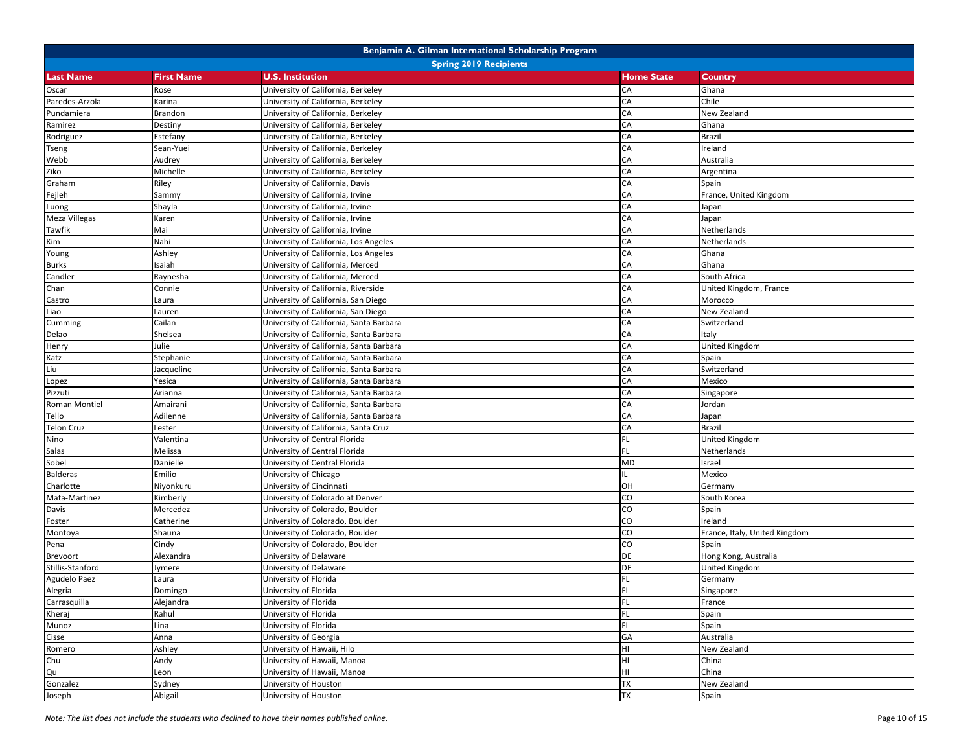|                   |                   | Benjamin A. Gilman International Scholarship Program |                   |                               |
|-------------------|-------------------|------------------------------------------------------|-------------------|-------------------------------|
|                   |                   | <b>Spring 2019 Recipients</b>                        |                   |                               |
| <b>Last Name</b>  | <b>First Name</b> | <b>U.S. Institution</b>                              | <b>Home State</b> | Country                       |
| Oscar             | Rose              | University of California, Berkeley                   | CA                | Ghana                         |
| Paredes-Arzola    | Karina            | University of California, Berkeley                   | CA                | Chile                         |
| Pundamiera        | Brandon           | University of California, Berkeley                   | CA                | New Zealand                   |
| Ramirez           | Destiny           | University of California, Berkeley                   | CA                | Ghana                         |
| Rodriguez         | Estefany          | University of California, Berkeley                   | CA                | <b>Brazil</b>                 |
| Tseng             | Sean-Yuei         | University of California, Berkeley                   | CA                | Ireland                       |
| Webb              | Audrey            | University of California, Berkeley                   | CA                | Australia                     |
| Ziko              | Michelle          | University of California, Berkeley                   | CA                | Argentina                     |
| Graham            | Riley             | University of California, Davis                      | CA                | Spain                         |
| Fejleh            | Sammy             | University of California, Irvine                     | CA                | France, United Kingdom        |
| Luong             | Shayla            | University of California, Irvine                     | CA                | Japan                         |
| Meza Villegas     | Karen             | University of California, Irvine                     | CA                | Japan                         |
| Tawfik            | Mai               | University of California, Irvine                     | CA                | Netherlands                   |
| Kim               | Nahi              | University of California, Los Angeles                | CA                | Netherlands                   |
| Young             | Ashley            | University of California, Los Angeles                | CA                | Ghana                         |
| Burks             | Isaiah            | University of California, Merced                     | CA                | Ghana                         |
| Candler           | Raynesha          | University of California, Merced                     | CA                | South Africa                  |
| Chan              | Connie            | University of California, Riverside                  | CA                | United Kingdom, France        |
| Castro            | Laura             | University of California, San Diego                  | CA                | Morocco                       |
| Liao              | Lauren            | University of California, San Diego                  | CA                | New Zealand                   |
| Cumming           | Cailan            | University of California, Santa Barbara              | CA                | Switzerland                   |
| Delao             | Shelsea           | University of California, Santa Barbara              | CA                | Italy                         |
| Henry             | Julie             | University of California, Santa Barbara              | CA                | <b>United Kingdom</b>         |
| Katz              | Stephanie         | University of California, Santa Barbara              | CA                | Spain                         |
| Liu               | Jacqueline        | University of California, Santa Barbara              | CA                | Switzerland                   |
| Lopez             | Yesica            | University of California, Santa Barbara              | CA                | Mexico                        |
| Pizzuti           | Arianna           | University of California, Santa Barbara              | CA                | Singapore                     |
| Roman Montiel     | Amairani          | University of California, Santa Barbara              | CA                | Jordan                        |
| Tello             | Adilenne          | University of California, Santa Barbara              | CA                | Japan                         |
| <b>Telon Cruz</b> | Lester            | University of California, Santa Cruz                 | CA                | <b>Brazil</b>                 |
| Nino              | Valentina         | University of Central Florida                        | <b>FL</b>         | <b>United Kingdom</b>         |
| Salas             | Melissa           | University of Central Florida                        | FL.               | Netherlands                   |
| Sobel             | Danielle          | University of Central Florida                        | MD                | Israel                        |
| <b>Balderas</b>   | Emilio            | University of Chicago                                | IL.               | Mexico                        |
| Charlotte         | Niyonkuru         | University of Cincinnati                             | OH                | Germany                       |
| Mata-Martinez     | Kimberly          | University of Colorado at Denver                     | CO                | South Korea                   |
| Davis             | Mercedez          | University of Colorado, Boulder                      | CO                | Spain                         |
| Foster            | Catherine         | University of Colorado, Boulder                      | CO                | Ireland                       |
| Montoya           | Shauna            | University of Colorado, Boulder                      | CO                | France, Italy, United Kingdom |
| Pena              | Cindy             | University of Colorado, Boulder                      | CO                | Spain                         |
| Brevoort          | Alexandra         | University of Delaware                               | <b>DE</b>         | Hong Kong, Australia          |
| Stillis-Stanford  | Jymere            | University of Delaware                               | DE                | <b>United Kingdom</b>         |
| Agudelo Paez      | Laura             | University of Florida                                | <b>FL</b>         | Germany                       |
| Alegria           | Domingo           | University of Florida                                | <b>FL</b>         | Singapore                     |
| Carrasquilla      | Alejandra         | University of Florida                                | <b>FL</b>         | France                        |
| Kheraj            | Rahul             | University of Florida                                | FL.               | Spain                         |
| Munoz             | Lina              | University of Florida                                | FL.               | Spain                         |
| Cisse             | Anna              | University of Georgia                                | GA                | Australia                     |
| Romero            | Ashley            | University of Hawaii, Hilo                           | HI                | New Zealand                   |
| Chu               | Andy              | University of Hawaii, Manoa                          | HI                | China                         |
| Qu                | Leon              | University of Hawaii, Manoa                          | HI                | China                         |
| Gonzalez          | Sydney            | University of Houston                                | <b>TX</b>         | New Zealand                   |
| Joseph            | Abigail           | University of Houston                                | <b>TX</b>         | Spain                         |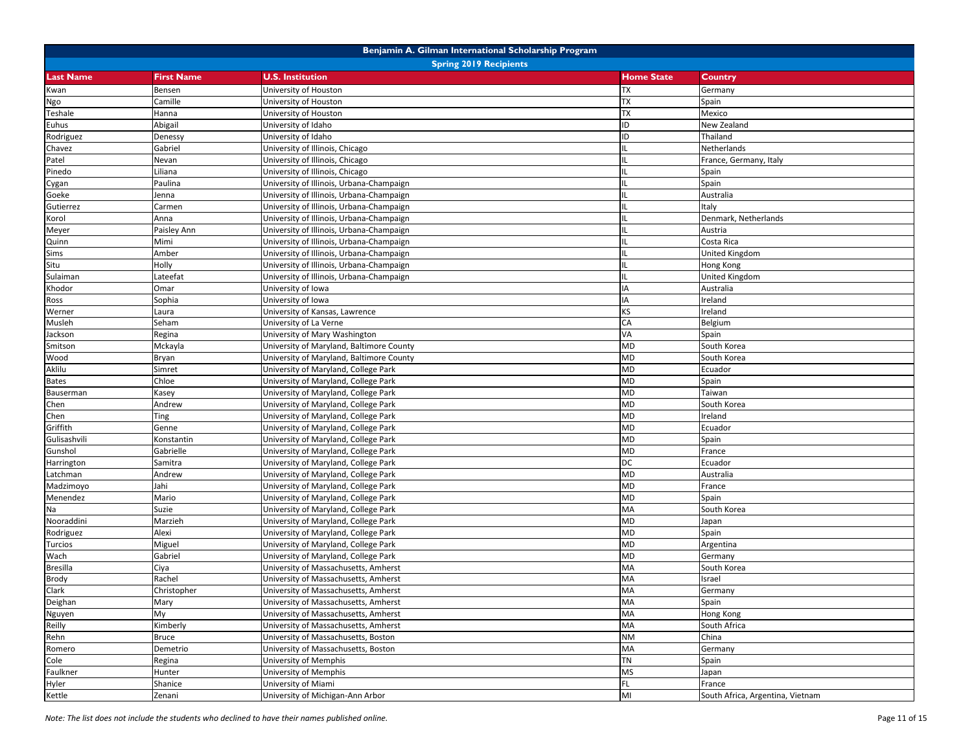|                               |                   | Benjamin A. Gilman International Scholarship Program |                   |                                  |  |
|-------------------------------|-------------------|------------------------------------------------------|-------------------|----------------------------------|--|
| <b>Spring 2019 Recipients</b> |                   |                                                      |                   |                                  |  |
| <b>Last Name</b>              | <b>First Name</b> | <b>U.S. Institution</b>                              | <b>Home State</b> | <b>Country</b>                   |  |
| Kwan                          | Bensen            | University of Houston                                | <b>TX</b>         | Germany                          |  |
| Ngo                           | Camille           | University of Houston                                | TX                | Spain                            |  |
| Teshale                       | Hanna             | University of Houston                                | <b>TX</b>         | Mexico                           |  |
| Euhus                         | Abigail           | University of Idaho                                  | ID                | New Zealand                      |  |
| Rodriguez                     | Denessy           | University of Idaho                                  | ID                | Thailand                         |  |
| Chavez                        | Gabriel           | University of Illinois, Chicago                      | IL.               | Netherlands                      |  |
| Patel                         | Nevan             | University of Illinois, Chicago                      | IL                | France, Germany, Italy           |  |
| Pinedo                        | Liliana           | University of Illinois, Chicago                      | IL                | Spain                            |  |
| Cygan                         | Paulina           | University of Illinois, Urbana-Champaign             | IL.               | Spain                            |  |
| Goeke                         | Jenna             | University of Illinois, Urbana-Champaign             | IL.               | Australia                        |  |
| Gutierrez                     | Carmen            | University of Illinois, Urbana-Champaign             | IL.               | Italy                            |  |
| Korol                         | Anna              | University of Illinois, Urbana-Champaign             | IL                | Denmark, Netherlands             |  |
| Meyer                         | Paisley Ann       | University of Illinois, Urbana-Champaign             | IL                | Austria                          |  |
| Quinn                         | Mimi              | University of Illinois, Urbana-Champaign             | IL.               | Costa Rica                       |  |
| Sims                          | Amber             | University of Illinois, Urbana-Champaign             | IL                | United Kingdom                   |  |
| Situ                          | Holly             | University of Illinois, Urbana-Champaign             | IL.               | Hong Kong                        |  |
| Sulaiman                      | Lateefat          | University of Illinois, Urbana-Champaign             | IL.               | <b>United Kingdom</b>            |  |
| Khodor                        | Omar              | University of Iowa                                   | IA                | Australia                        |  |
| Ross                          | Sophia            | University of Iowa                                   | IA                | Ireland                          |  |
| Werner                        | Laura             | University of Kansas, Lawrence                       | KS                | Ireland                          |  |
| Musleh                        | Seham             | University of La Verne                               | CA                | Belgium                          |  |
| Jackson                       | Regina            | University of Mary Washington                        | VA                | Spain                            |  |
| Smitson                       | Mckayla           | University of Maryland, Baltimore County             | MD                | South Korea                      |  |
| Wood                          | Bryan             | University of Maryland, Baltimore County             | MD                | South Korea                      |  |
| Aklilu                        | Simret            | University of Maryland, College Park                 | MD                | Ecuador                          |  |
| <b>Bates</b>                  | Chloe             | University of Maryland, College Park                 | MD                | Spain                            |  |
| Bauserman                     | Kasey             | University of Maryland, College Park                 | MD                | Taiwan                           |  |
| Chen                          | Andrew            | University of Maryland, College Park                 | MD                | South Korea                      |  |
| Chen                          | Ting              | University of Maryland, College Park                 | MD                | Ireland                          |  |
| Griffith                      | Genne             | University of Maryland, College Park                 | MD                | Ecuador                          |  |
| Gulisashvili                  | Konstantin        | University of Maryland, College Park                 | MD                | Spain                            |  |
| Gunshol                       | Gabrielle         | University of Maryland, College Park                 | MD                | France                           |  |
| Harrington                    | Samitra           | University of Maryland, College Park                 | DC                | Ecuador                          |  |
| Latchman                      | Andrew            | University of Maryland, College Park                 | MD                | Australia                        |  |
| Madzimoyo                     | Jahi              | University of Maryland, College Park                 | MD                | France                           |  |
| Menendez                      | Mario             | University of Maryland, College Park                 | MD                | Spain                            |  |
| Na                            | Suzie             | University of Maryland, College Park                 | MA                | South Korea                      |  |
| Nooraddini                    | Marzieh           | University of Maryland, College Park                 | MD                | Japan                            |  |
| Rodriguez                     | Alexi             | University of Maryland, College Park                 | MD                | Spain                            |  |
| Turcios                       | Miguel            | University of Maryland, College Park                 | MD                | Argentina                        |  |
| Wach                          | Gabriel           | University of Maryland, College Park                 | MD                | Germany                          |  |
| <b>Bresilla</b>               | Ciya              | University of Massachusetts, Amherst                 | MA                | South Korea                      |  |
| <b>Brody</b>                  | Rachel            | University of Massachusetts, Amherst                 | MA                | Israel                           |  |
| Clark                         | Christopher       | University of Massachusetts, Amherst                 | <b>MA</b>         | Germany                          |  |
| Deighan                       | Mary              | University of Massachusetts, Amherst                 | MA                | Spain                            |  |
| Nguyen                        | My                | University of Massachusetts, Amherst                 | MA                | Hong Kong                        |  |
| Reilly                        | Kimberly          | University of Massachusetts, Amherst                 | MA                | South Africa                     |  |
| Rehn                          | Bruce             | University of Massachusetts, Boston                  | <b>NM</b>         | China                            |  |
| Romero                        | Demetrio          | University of Massachusetts, Boston                  | MA                | Germany                          |  |
| Cole                          | Regina            | University of Memphis                                | <b>TN</b>         | Spain                            |  |
| Faulkner                      | Hunter            | University of Memphis                                | <b>MS</b>         | Japan                            |  |
| Hyler                         | Shanice           | University of Miami                                  | FL.               | France                           |  |
| Kettle                        | Zenani            | University of Michigan-Ann Arbor                     | MI                | South Africa, Argentina, Vietnam |  |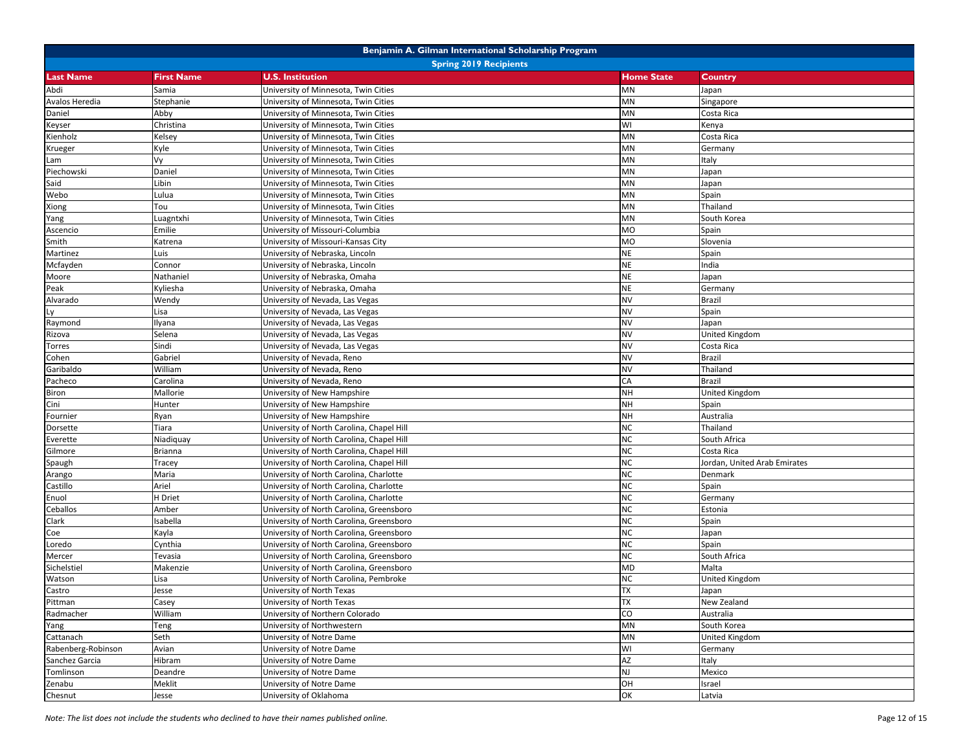|                    |                               | Benjamin A. Gilman International Scholarship Program |                   |                              |  |  |
|--------------------|-------------------------------|------------------------------------------------------|-------------------|------------------------------|--|--|
|                    | <b>Spring 2019 Recipients</b> |                                                      |                   |                              |  |  |
| <b>Last Name</b>   | <b>First Name</b>             | <b>U.S. Institution</b>                              | <b>Home State</b> | <b>Country</b>               |  |  |
| Abdi               | Samia                         | University of Minnesota, Twin Cities                 | MN                | Japan                        |  |  |
| Avalos Heredia     | Stephanie                     | University of Minnesota, Twin Cities                 | MN                | Singapore                    |  |  |
| Daniel             | Abby                          | University of Minnesota, Twin Cities                 | MN                | Costa Rica                   |  |  |
| Keyser             | Christina                     | University of Minnesota, Twin Cities                 | WI                | Kenya                        |  |  |
| Kienholz           | Kelsey                        | University of Minnesota, Twin Cities                 | MN                | Costa Rica                   |  |  |
| Krueger            | Kyle                          | University of Minnesota, Twin Cities                 | MN                | Germany                      |  |  |
| Lam                | Vy                            | University of Minnesota, Twin Cities                 | MN                | Italy                        |  |  |
| Piechowski         | Daniel                        | University of Minnesota, Twin Cities                 | MN                | Japan                        |  |  |
| Said               | Libin                         | University of Minnesota, Twin Cities                 | MN                | Japan                        |  |  |
| Webo               | Lulua                         | University of Minnesota, Twin Cities                 | <b>MN</b>         | Spain                        |  |  |
| Xiong              | Tou                           | University of Minnesota, Twin Cities                 | MN                | Thailand                     |  |  |
| Yang               | Luagntxhi                     | University of Minnesota, Twin Cities                 | MN                | South Korea                  |  |  |
| Ascencio           | Emilie                        | University of Missouri-Columbia                      | <b>MO</b>         | Spain                        |  |  |
| Smith              | Katrena                       | University of Missouri-Kansas City                   | MO                | Slovenia                     |  |  |
| Martinez           | Luis                          | University of Nebraska, Lincoln                      | <b>NE</b>         | Spain                        |  |  |
| Mcfayden           | Connor                        | University of Nebraska, Lincoln                      | <b>NE</b>         | India                        |  |  |
| Moore              | Nathaniel                     | University of Nebraska, Omaha                        | <b>NE</b>         | Japan                        |  |  |
| Peak               | Kyliesha                      | University of Nebraska, Omaha                        | <b>NE</b>         | Germany                      |  |  |
| Alvarado           | Wendy                         | University of Nevada, Las Vegas                      | <b>NV</b>         | <b>Brazil</b>                |  |  |
|                    | Lisa                          | University of Nevada, Las Vegas                      | <b>NV</b>         | Spain                        |  |  |
| Raymond            | Ilyana                        | University of Nevada, Las Vegas                      | <b>NV</b>         | Japan                        |  |  |
| Rizova             | Selena                        | University of Nevada, Las Vegas                      | <b>NV</b>         | <b>United Kingdom</b>        |  |  |
| Torres             | Sindi                         | University of Nevada, Las Vegas                      | <b>NV</b>         | Costa Rica                   |  |  |
| Cohen              | Gabriel                       | University of Nevada, Reno                           | <b>NV</b>         | <b>Brazil</b>                |  |  |
| Garibaldo          | William                       | University of Nevada, Reno                           | <b>NV</b>         | Thailand                     |  |  |
| Pacheco            | Carolina                      | University of Nevada, Reno                           | CA                | <b>Brazil</b>                |  |  |
| Biron              | Mallorie                      | University of New Hampshire                          | <b>NH</b>         | United Kingdom               |  |  |
| Cini               | Hunter                        | University of New Hampshire                          | <b>NH</b>         | Spain                        |  |  |
| Fournier           | Ryan                          | University of New Hampshire                          | <b>NH</b>         | Australia                    |  |  |
| Dorsette           | Tiara                         | University of North Carolina, Chapel Hill            | <b>NC</b>         | Thailand                     |  |  |
| Everette           | Niadiquay                     | University of North Carolina, Chapel Hill            | <b>NC</b>         | South Africa                 |  |  |
| Gilmore            | Brianna                       | University of North Carolina, Chapel Hill            | <b>NC</b>         | Costa Rica                   |  |  |
| Spaugh             | Tracey                        | University of North Carolina, Chapel Hill            | <b>NC</b>         | Jordan, United Arab Emirates |  |  |
| Arango             | Maria                         | University of North Carolina, Charlotte              | <b>NC</b>         | Denmark                      |  |  |
| Castillo           | Ariel                         | University of North Carolina, Charlotte              | <b>NC</b>         | Spain                        |  |  |
| Enuol              | H Driet                       | University of North Carolina, Charlotte              | <b>NC</b>         | Germany                      |  |  |
| Ceballos           | Amber                         | University of North Carolina, Greensboro             | <b>NC</b>         | Estonia                      |  |  |
| Clark              | Isabella                      | University of North Carolina, Greensboro             | <b>NC</b>         | Spain                        |  |  |
| Coe                | Kayla                         | University of North Carolina, Greensboro             | <b>NC</b>         | Japan                        |  |  |
| Loredo             | Cynthia                       | University of North Carolina, Greensboro             | <b>NC</b>         | Spain                        |  |  |
| Mercer             | Tevasia                       | University of North Carolina, Greensboro             | <b>NC</b>         | South Africa                 |  |  |
| Sichelstiel        | Makenzie                      | University of North Carolina, Greensboro             | MD                | Malta                        |  |  |
| Watson             | Lisa                          | University of North Carolina, Pembroke               | <b>NC</b>         | <b>United Kingdom</b>        |  |  |
| Castro             | Jesse                         | University of North Texas                            | <b>TX</b>         | Japan                        |  |  |
| Pittman            | Casey                         | University of North Texas                            | TX                | New Zealand                  |  |  |
| Radmacher          | William                       | University of Northern Colorado                      | $\overline{c}$    | Australia                    |  |  |
| Yang               | Teng                          | University of Northwestern                           | MN                | South Korea                  |  |  |
| Cattanach          | Seth                          | University of Notre Dame                             | MN                | <b>United Kingdom</b>        |  |  |
| Rabenberg-Robinson | Avian                         | University of Notre Dame                             | WI                | Germany                      |  |  |
| Sanchez Garcia     | Hibram                        | University of Notre Dame                             | AZ                | Italy                        |  |  |
| Tomlinson          | Deandre                       | University of Notre Dame                             | NJ                | Mexico                       |  |  |
| Zenabu             | Meklit                        | University of Notre Dame                             | OH                | Israel                       |  |  |
| Chesnut            | Jesse                         | University of Oklahoma                               | OK                | Latvia                       |  |  |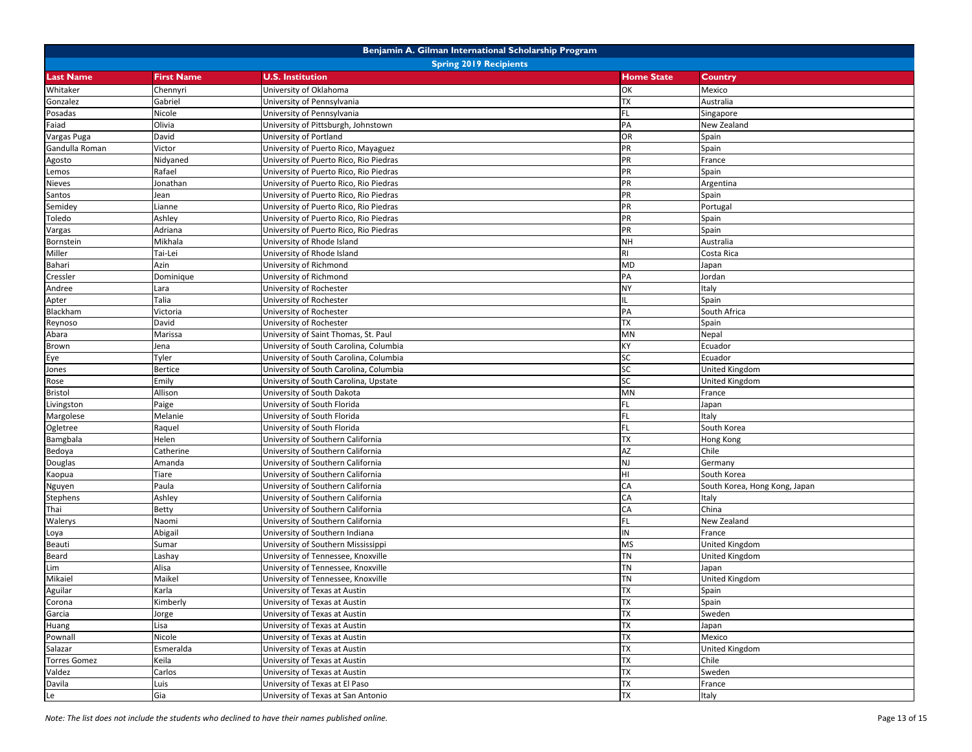| Benjamin A. Gilman International Scholarship Program |                   |                                        |                   |                               |  |  |  |
|------------------------------------------------------|-------------------|----------------------------------------|-------------------|-------------------------------|--|--|--|
| <b>Spring 2019 Recipients</b>                        |                   |                                        |                   |                               |  |  |  |
| <b>Last Name</b>                                     | <b>First Name</b> | <b>U.S. Institution</b>                | <b>Home State</b> | Country                       |  |  |  |
| Whitaker                                             | Chennyri          | University of Oklahoma                 | OK                | Mexico                        |  |  |  |
| Gonzalez                                             | Gabriel           | University of Pennsylvania             | <b>TX</b>         | Australia                     |  |  |  |
| Posadas                                              | Nicole            | University of Pennsylvania             | FL                | Singapore                     |  |  |  |
| Faiad                                                | Olivia            | University of Pittsburgh, Johnstown    | PA                | New Zealand                   |  |  |  |
| Vargas Puga                                          | David             | University of Portland                 | OR                | Spain                         |  |  |  |
| Gandulla Roman                                       | Victor            | University of Puerto Rico, Mayaguez    | PR                | Spain                         |  |  |  |
| Agosto                                               | Nidyaned          | University of Puerto Rico, Rio Piedras | PR                | France                        |  |  |  |
| Lemos                                                | Rafael            | University of Puerto Rico, Rio Piedras | PR                | Spain                         |  |  |  |
| Nieves                                               | Jonathan          | University of Puerto Rico, Rio Piedras | PR                | Argentina                     |  |  |  |
| Santos                                               | Jean              | University of Puerto Rico, Rio Piedras | PR                | Spain                         |  |  |  |
| Semidey                                              | Lianne            | University of Puerto Rico, Rio Piedras | PR                | Portugal                      |  |  |  |
| Toledo                                               | Ashley            | University of Puerto Rico, Rio Piedras | PR                | Spain                         |  |  |  |
| Vargas                                               | Adriana           | University of Puerto Rico, Rio Piedras | PR                | Spain                         |  |  |  |
| Bornstein                                            | Mikhala           | University of Rhode Island             | NH                | Australia                     |  |  |  |
| Miller                                               | Tai-Lei           | University of Rhode Island             | <b>RI</b>         | Costa Rica                    |  |  |  |
| Bahari                                               | Azin              | University of Richmond                 | MD                | Japan                         |  |  |  |
| Cressler                                             | Dominique         | University of Richmond                 | PA                | Jordan                        |  |  |  |
| Andree                                               | Lara              | University of Rochester                | NY                | Italy                         |  |  |  |
| Apter                                                | Talia             | University of Rochester                | IL.               | Spain                         |  |  |  |
| Blackham                                             | Victoria          | University of Rochester                | PA                | South Africa                  |  |  |  |
| Reynoso                                              | David             | University of Rochester                | TX                | Spain                         |  |  |  |
| Abara                                                | Marissa           | University of Saint Thomas, St. Paul   | MN                | Nepal                         |  |  |  |
| Brown                                                | Jena              | University of South Carolina, Columbia | КY                | Ecuador                       |  |  |  |
| Eye                                                  | Tyler             | University of South Carolina, Columbia | SC                | Ecuador                       |  |  |  |
| Jones                                                | <b>Bertice</b>    | University of South Carolina, Columbia | SC                | United Kingdom                |  |  |  |
| Rose                                                 | Emily             | University of South Carolina, Upstate  | SC                | United Kingdom                |  |  |  |
| <b>Bristol</b>                                       | Allison           | University of South Dakota             | MN                | France                        |  |  |  |
| Livingston                                           | Paige             | University of South Florida            | FL.               | Japan                         |  |  |  |
| Margolese                                            | Melanie           | University of South Florida            | FL.               | Italy                         |  |  |  |
| Ogletree                                             | Raquel            | University of South Florida            | FL.               | South Korea                   |  |  |  |
| Bamgbala                                             | Helen             | University of Southern California      | <b>TX</b>         | Hong Kong                     |  |  |  |
| Bedoya                                               | Catherine         | University of Southern California      | AZ                | Chile                         |  |  |  |
| Douglas                                              | Amanda            | University of Southern California      | NJ                | Germany                       |  |  |  |
| Kaopua                                               | Tiare             | University of Southern California      | HI                | South Korea                   |  |  |  |
| Nguyen                                               | Paula             | University of Southern California      | CA                | South Korea, Hong Kong, Japan |  |  |  |
| <b>Stephens</b>                                      | Ashley            | University of Southern California      | CA                | Italy                         |  |  |  |
| Thai                                                 | Betty             | University of Southern California      | CA                | China                         |  |  |  |
| Walerys                                              | Naomi             | University of Southern California      | FL.               | New Zealand                   |  |  |  |
| Loya                                                 | Abigail           | University of Southern Indiana         | ${\sf IN}$        | France                        |  |  |  |
| Beauti                                               | Sumar             | University of Southern Mississippi     | <b>MS</b>         | United Kingdom                |  |  |  |
| Beard                                                | Lashay            | University of Tennessee, Knoxville     | <b>TN</b>         | <b>United Kingdom</b>         |  |  |  |
| Lim                                                  | Alisa             | University of Tennessee, Knoxville     | TN                | Japan                         |  |  |  |
| Mikaiel                                              | Maikel            | University of Tennessee, Knoxville     | <b>TN</b>         | <b>United Kingdom</b>         |  |  |  |
| Aguilar                                              | Karla             | University of Texas at Austin          | <b>TX</b>         | Spain                         |  |  |  |
| Corona                                               | Kimberly          | University of Texas at Austin          | TX                | Spain                         |  |  |  |
| Garcia                                               | Jorge             | University of Texas at Austin          | <b>TX</b>         | Sweden                        |  |  |  |
| Huang                                                | Lisa              | University of Texas at Austin          | <b>TX</b>         | Japan                         |  |  |  |
| Pownall                                              | Nicole            | University of Texas at Austin          | TX                | Mexico                        |  |  |  |
| Salazar                                              | Esmeralda         | University of Texas at Austin          | TX                | <b>United Kingdom</b>         |  |  |  |
| <b>Torres Gomez</b>                                  | Keila             | University of Texas at Austin          | TX                | Chile                         |  |  |  |
| Valdez                                               | Carlos            | University of Texas at Austin          | TX                | Sweden                        |  |  |  |
| Davila                                               | Luis              | University of Texas at El Paso         | TX                | France                        |  |  |  |
| Le                                                   | Gia               | University of Texas at San Antonio     | <b>TX</b>         | Italy                         |  |  |  |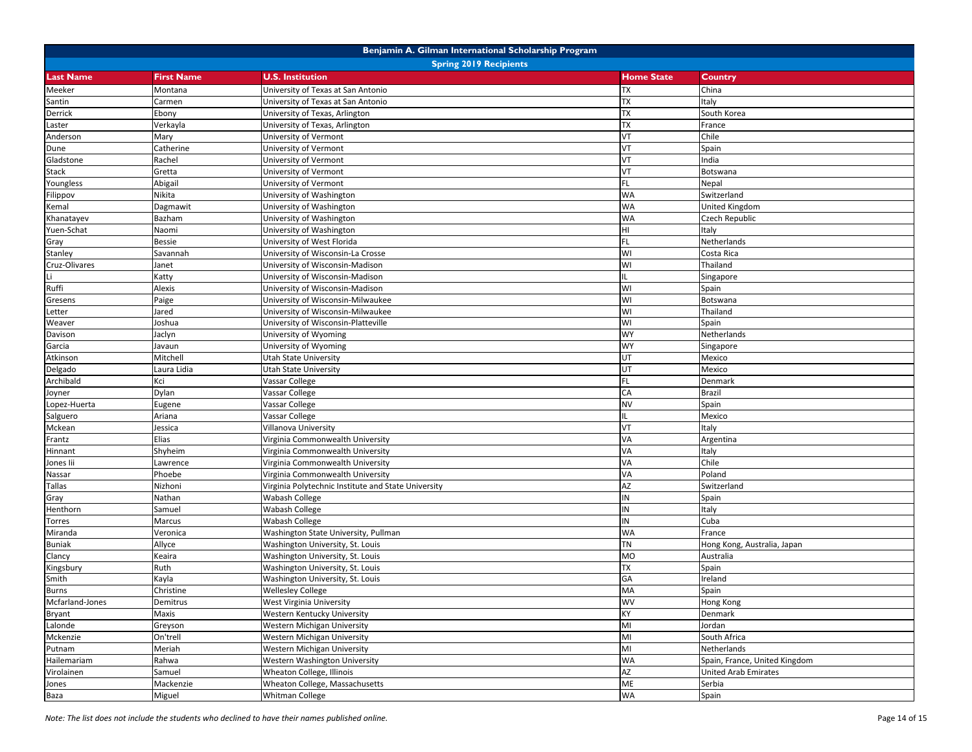| Benjamin A. Gilman International Scholarship Program |                   |                                                     |                   |                               |  |  |  |
|------------------------------------------------------|-------------------|-----------------------------------------------------|-------------------|-------------------------------|--|--|--|
| <b>Spring 2019 Recipients</b>                        |                   |                                                     |                   |                               |  |  |  |
| <b>Last Name</b>                                     | <b>First Name</b> | <b>U.S. Institution</b>                             | <b>Home State</b> | Country                       |  |  |  |
| Meeker                                               | Montana           | University of Texas at San Antonio                  | TX                | China                         |  |  |  |
| Santin                                               | Carmen            | University of Texas at San Antonio                  | TX                | Italy                         |  |  |  |
| Derrick                                              | Ebony             | University of Texas, Arlington                      | TX                | South Korea                   |  |  |  |
| Laster                                               | Verkayla          | University of Texas, Arlington                      | TX                | France                        |  |  |  |
| Anderson                                             | Mary              | University of Vermont                               | VT                | Chile                         |  |  |  |
| Dune                                                 | Catherine         | University of Vermont                               | VT                | Spain                         |  |  |  |
| Gladstone                                            | Rachel            | University of Vermont                               | VT                | India                         |  |  |  |
| Stack                                                | Gretta            | University of Vermont                               | VT                | Botswana                      |  |  |  |
| Youngless                                            | Abigail           | University of Vermont                               | FL.               | Nepal                         |  |  |  |
| Filippov                                             | Nikita            | University of Washington                            | <b>WA</b>         | Switzerland                   |  |  |  |
| Kemal                                                | Dagmawit          | University of Washington                            | WA                | <b>United Kingdom</b>         |  |  |  |
| Khanatayev                                           | Bazham            | University of Washington                            | <b>WA</b>         | Czech Republic                |  |  |  |
| Yuen-Schat                                           | Naomi             | University of Washington                            | HI                | Italy                         |  |  |  |
| Gray                                                 | Bessie            | University of West Florida                          | FL                | Netherlands                   |  |  |  |
| Stanley                                              | Savannah          | University of Wisconsin-La Crosse                   | WI                | Costa Rica                    |  |  |  |
| Cruz-Olivares                                        | Janet             | University of Wisconsin-Madison                     | WI                | Thailand                      |  |  |  |
| Li                                                   | Katty             | University of Wisconsin-Madison                     | IL.               | Singapore                     |  |  |  |
| Ruffi                                                | Alexis            | University of Wisconsin-Madison                     | WI                | Spain                         |  |  |  |
| Gresens                                              | Paige             | University of Wisconsin-Milwaukee                   | WI                | Botswana                      |  |  |  |
| Letter                                               | Jared             | University of Wisconsin-Milwaukee                   | WI                | Thailand                      |  |  |  |
| Weaver                                               | Joshua            | University of Wisconsin-Platteville                 | WI                | Spain                         |  |  |  |
| Davison                                              | Jaclyn            | University of Wyoming                               | <b>WY</b>         | Netherlands                   |  |  |  |
| Garcia                                               | Javaun            | University of Wyoming                               | <b>WY</b>         | Singapore                     |  |  |  |
| Atkinson                                             | Mitchell          | <b>Utah State University</b>                        | UT                | Mexico                        |  |  |  |
| Delgado                                              | Laura Lidia       | <b>Utah State University</b>                        | UT                | Mexico                        |  |  |  |
| Archibald                                            | Kci               | Vassar College                                      | FL                | Denmark                       |  |  |  |
| Joyner                                               | Dylan             | Vassar College                                      | CA                | <b>Brazil</b>                 |  |  |  |
| Lopez-Huerta                                         | Eugene            | Vassar College                                      | <b>NV</b>         | Spain                         |  |  |  |
| Salguero                                             | Ariana            | Vassar College                                      | IL.               | Mexico                        |  |  |  |
| Mckean                                               | Jessica           | Villanova University                                | VT                | Italy                         |  |  |  |
| Frantz                                               | Elias             | Virginia Commonwealth University                    | VA                | Argentina                     |  |  |  |
| Hinnant                                              | Shyheim           | Virginia Commonwealth University                    | VA                | Italy                         |  |  |  |
| Jones lii                                            | awrence           | Virginia Commonwealth University                    | VA                | Chile                         |  |  |  |
| Nassar                                               | Phoebe            | Virginia Commonwealth University                    | VA                | Poland                        |  |  |  |
| Tallas                                               | Nizhoni           | Virginia Polytechnic Institute and State University | AZ                | Switzerland                   |  |  |  |
| Gray                                                 | Nathan            | Wabash College                                      | IN                | Spain                         |  |  |  |
| Henthorn                                             | Samuel            | Wabash College                                      | IN                | Italy                         |  |  |  |
| Torres                                               | Marcus            | Wabash College                                      | IN                | Cuba                          |  |  |  |
| Miranda                                              | Veronica          | Washington State University, Pullman                | WA                | France                        |  |  |  |
| <b>Buniak</b>                                        | Allyce            | Washington University, St. Louis                    | TN                | Hong Kong, Australia, Japan   |  |  |  |
| Clancy                                               | Keaira            | Washington University, St. Louis                    | <b>MO</b>         | Australia                     |  |  |  |
| Kingsbury                                            | Ruth              | Washington University, St. Louis                    | <b>TX</b>         | Spain                         |  |  |  |
| Smith                                                | Kayla             | Washington University, St. Louis                    | GA                | Ireland                       |  |  |  |
| <b>Burns</b>                                         | Christine         | <b>Wellesley College</b>                            | MA                | Spain                         |  |  |  |
| Mcfarland-Jones                                      | Demitrus          | West Virginia University                            | Ş                 | Hong Kong                     |  |  |  |
| Bryant                                               | Maxis             | Western Kentucky University                         | КY                | Denmark                       |  |  |  |
| Lalonde                                              | Greyson           | Western Michigan University                         | MI                | Jordan                        |  |  |  |
| Mckenzie                                             | On'trell          | Western Michigan University                         | MI                | South Africa                  |  |  |  |
| Putnam                                               | Meriah            | Western Michigan University                         | MI                | Netherlands                   |  |  |  |
| Hailemariam                                          | Rahwa             | Western Washington University                       | WA                | Spain, France, United Kingdom |  |  |  |
| Virolainen                                           | Samuel            | Wheaton College, Illinois                           | AZ                | <b>United Arab Emirates</b>   |  |  |  |
| Jones                                                | Mackenzie         | Wheaton College, Massachusetts                      | <b>ME</b>         | Serbia                        |  |  |  |
| Baza                                                 | Miguel            | <b>Whitman College</b>                              | <b>WA</b>         | Spain                         |  |  |  |